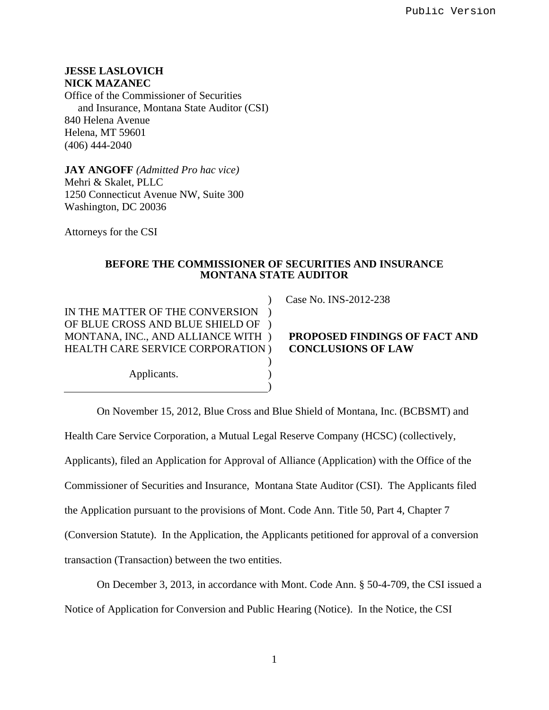### **JESSE LASLOVICH NICK MAZANEC**

Office of the Commissioner of Securities and Insurance, Montana State Auditor (CSI) 840 Helena Avenue Helena, MT 59601 (406) 444-2040

**JAY ANGOFF** *(Admitted Pro hac vice)*  Mehri & Skalet, PLLC 1250 Connecticut Avenue NW, Suite 300 Washington, DC 20036

Attorneys for the CSI

### **BEFORE THE COMMISSIONER OF SECURITIES AND INSURANCE MONTANA STATE AUDITOR**

) ) )

IN THE MATTER OF THE CONVERSION OF BLUE CROSS AND BLUE SHIELD OF ) MONTANA, INC., AND ALLIANCE WITH ) HEALTH CARE SERVICE CORPORATION ) )  $\lambda$ 

Applicants.

Case No. INS-2012-238

## **PROPOSED FINDINGS OF FACT AND CONCLUSIONS OF LAW**

 On November 15, 2012, Blue Cross and Blue Shield of Montana, Inc. (BCBSMT) and Health Care Service Corporation, a Mutual Legal Reserve Company (HCSC) (collectively, Applicants), filed an Application for Approval of Alliance (Application) with the Office of the Commissioner of Securities and Insurance, Montana State Auditor (CSI). The Applicants filed the Application pursuant to the provisions of Mont. Code Ann. Title 50, Part 4, Chapter 7 (Conversion Statute). In the Application, the Applicants petitioned for approval of a conversion transaction (Transaction) between the two entities.

 On December 3, 2013, in accordance with Mont. Code Ann. § 50-4-709, the CSI issued a Notice of Application for Conversion and Public Hearing (Notice). In the Notice, the CSI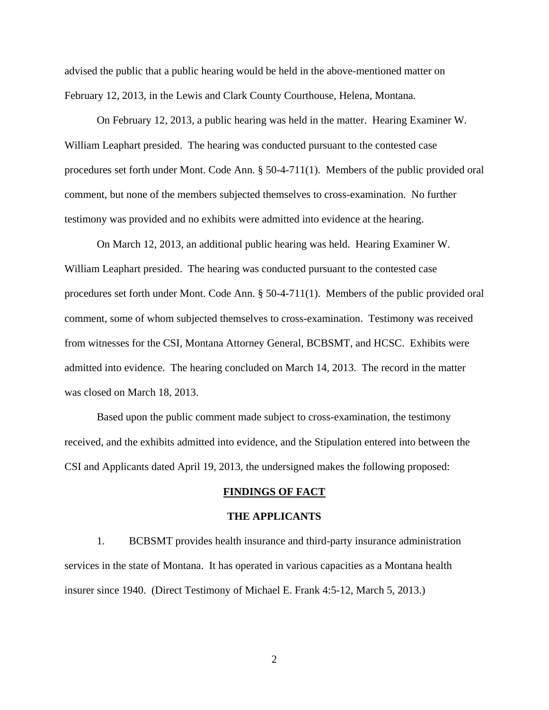advised the public that a public hearing would be held in the above-mentioned matter on February 12, 2013, in the Lewis and Clark County Courthouse, Helena, Montana.

 On February 12, 2013, a public hearing was held in the matter. Hearing Examiner W. William Leaphart presided. The hearing was conducted pursuant to the contested case procedures set forth under Mont. Code Ann. § 50-4-711(1). Members of the public provided oral comment, but none of the members subjected themselves to cross-examination. No further testimony was provided and no exhibits were admitted into evidence at the hearing.

 On March 12, 2013, an additional public hearing was held. Hearing Examiner W. William Leaphart presided. The hearing was conducted pursuant to the contested case procedures set forth under Mont. Code Ann. § 50-4-711(1). Members of the public provided oral comment, some of whom subjected themselves to cross-examination. Testimony was received from witnesses for the CSI, Montana Attorney General, BCBSMT, and HCSC. Exhibits were admitted into evidence. The hearing concluded on March 14, 2013. The record in the matter was closed on March 18, 2013.

 Based upon the public comment made subject to cross-examination, the testimony received, and the exhibits admitted into evidence, and the Stipulation entered into between the CSI and Applicants dated April 19, 2013, the undersigned makes the following proposed:

#### **FINDINGS OF FACT**

#### **THE APPLICANTS**

1. BCBSMT provides health insurance and third-party insurance administration services in the state of Montana. It has operated in various capacities as a Montana health insurer since 1940. (Direct Testimony of Michael E. Frank 4:5-12, March 5, 2013.)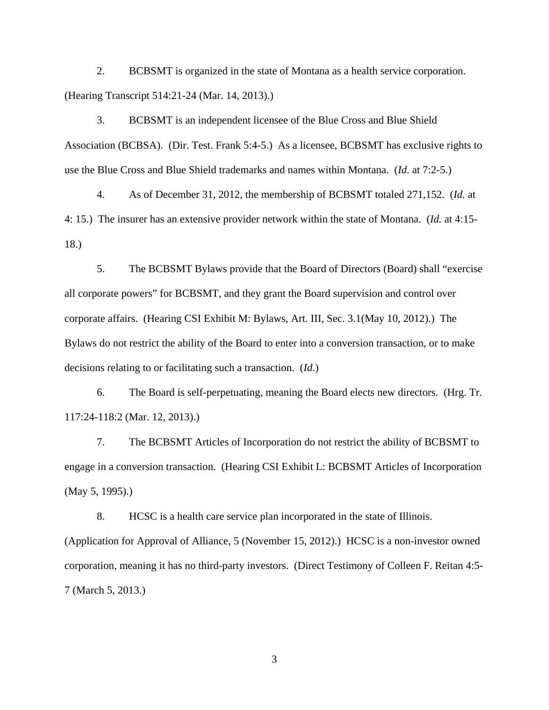2. BCBSMT is organized in the state of Montana as a health service corporation. (Hearing Transcript 514:21-24 (Mar. 14, 2013).)

3. BCBSMT is an independent licensee of the Blue Cross and Blue Shield Association (BCBSA). (Dir. Test. Frank 5:4-5.) As a licensee, BCBSMT has exclusive rights to use the Blue Cross and Blue Shield trademarks and names within Montana. (*Id.* at 7:2-5.)

4. As of December 31, 2012, the membership of BCBSMT totaled 271,152. (*Id.* at 4: 15.) The insurer has an extensive provider network within the state of Montana. (*Id.* at 4:15- 18.)

5. The BCBSMT Bylaws provide that the Board of Directors (Board) shall "exercise all corporate powers" for BCBSMT, and they grant the Board supervision and control over corporate affairs. (Hearing CSI Exhibit M: Bylaws, Art. III, Sec. 3.1(May 10, 2012).) The Bylaws do not restrict the ability of the Board to enter into a conversion transaction, or to make decisions relating to or facilitating such a transaction. (*Id*.)

6. The Board is self-perpetuating, meaning the Board elects new directors. (Hrg. Tr. 117:24-118:2 (Mar. 12, 2013).)

7. The BCBSMT Articles of Incorporation do not restrict the ability of BCBSMT to engage in a conversion transaction. (Hearing CSI Exhibit L: BCBSMT Articles of Incorporation (May 5, 1995).)

8. HCSC is a health care service plan incorporated in the state of Illinois.

(Application for Approval of Alliance, 5 (November 15, 2012).) HCSC is a non-investor owned corporation, meaning it has no third-party investors. (Direct Testimony of Colleen F. Reitan 4:5- 7 (March 5, 2013.)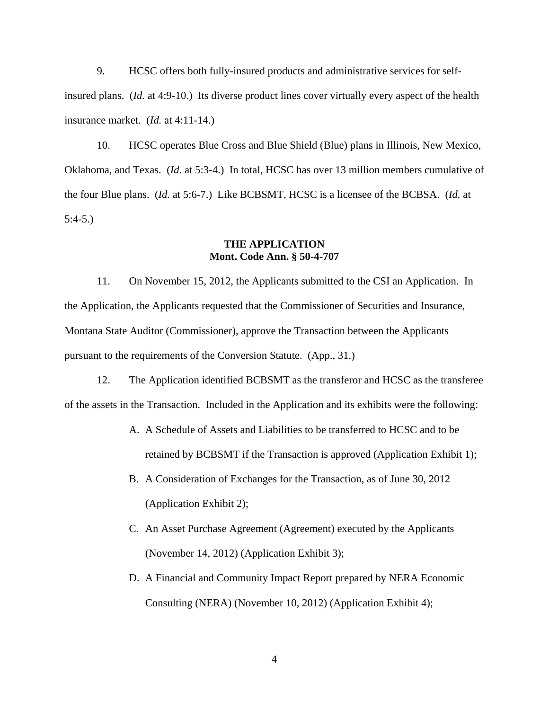9. HCSC offers both fully-insured products and administrative services for selfinsured plans. (*Id.* at 4:9-10.) Its diverse product lines cover virtually every aspect of the health insurance market. (*Id.* at 4:11-14.)

10. HCSC operates Blue Cross and Blue Shield (Blue) plans in Illinois, New Mexico, Oklahoma, and Texas. (*Id.* at 5:3-4.) In total, HCSC has over 13 million members cumulative of the four Blue plans. (*Id.* at 5:6-7.) Like BCBSMT, HCSC is a licensee of the BCBSA. (*Id.* at 5:4-5.)

## **THE APPLICATION Mont. Code Ann. § 50-4-707**

11. On November 15, 2012, the Applicants submitted to the CSI an Application. In the Application, the Applicants requested that the Commissioner of Securities and Insurance, Montana State Auditor (Commissioner), approve the Transaction between the Applicants pursuant to the requirements of the Conversion Statute. (App., 31.)

12. The Application identified BCBSMT as the transferor and HCSC as the transferee of the assets in the Transaction. Included in the Application and its exhibits were the following:

- A. A Schedule of Assets and Liabilities to be transferred to HCSC and to be retained by BCBSMT if the Transaction is approved (Application Exhibit 1);
- B. A Consideration of Exchanges for the Transaction, as of June 30, 2012 (Application Exhibit 2);
- C. An Asset Purchase Agreement (Agreement) executed by the Applicants (November 14, 2012) (Application Exhibit 3);
- D. A Financial and Community Impact Report prepared by NERA Economic Consulting (NERA) (November 10, 2012) (Application Exhibit 4);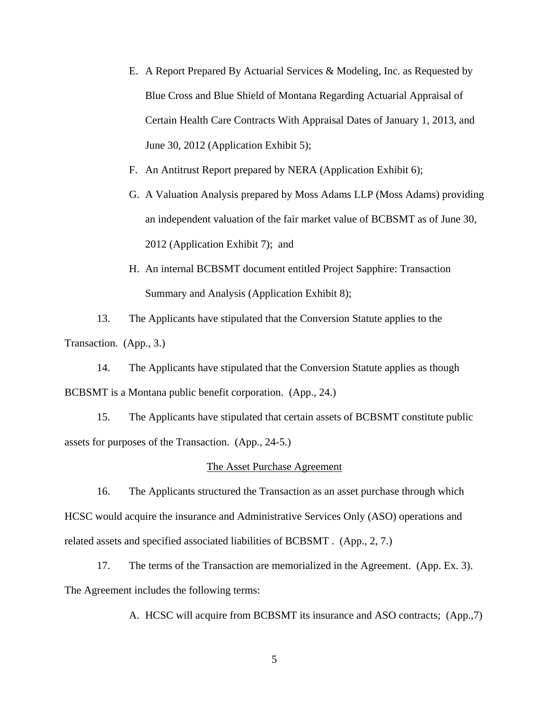- E. A Report Prepared By Actuarial Services & Modeling, Inc. as Requested by Blue Cross and Blue Shield of Montana Regarding Actuarial Appraisal of Certain Health Care Contracts With Appraisal Dates of January 1, 2013, and June 30, 2012 (Application Exhibit 5);
- F. An Antitrust Report prepared by NERA (Application Exhibit 6);
- G. A Valuation Analysis prepared by Moss Adams LLP (Moss Adams) providing an independent valuation of the fair market value of BCBSMT as of June 30, 2012 (Application Exhibit 7); and
- H. An internal BCBSMT document entitled Project Sapphire: Transaction Summary and Analysis (Application Exhibit 8);

13. The Applicants have stipulated that the Conversion Statute applies to the Transaction. (App., 3.)

14. The Applicants have stipulated that the Conversion Statute applies as though BCBSMT is a Montana public benefit corporation. (App., 24.)

15. The Applicants have stipulated that certain assets of BCBSMT constitute public assets for purposes of the Transaction. (App., 24-5.)

#### The Asset Purchase Agreement

16. The Applicants structured the Transaction as an asset purchase through which HCSC would acquire the insurance and Administrative Services Only (ASO) operations and related assets and specified associated liabilities of BCBSMT . (App., 2, 7.)

17. The terms of the Transaction are memorialized in the Agreement. (App. Ex. 3). The Agreement includes the following terms:

A. HCSC will acquire from BCBSMT its insurance and ASO contracts; (App.,7)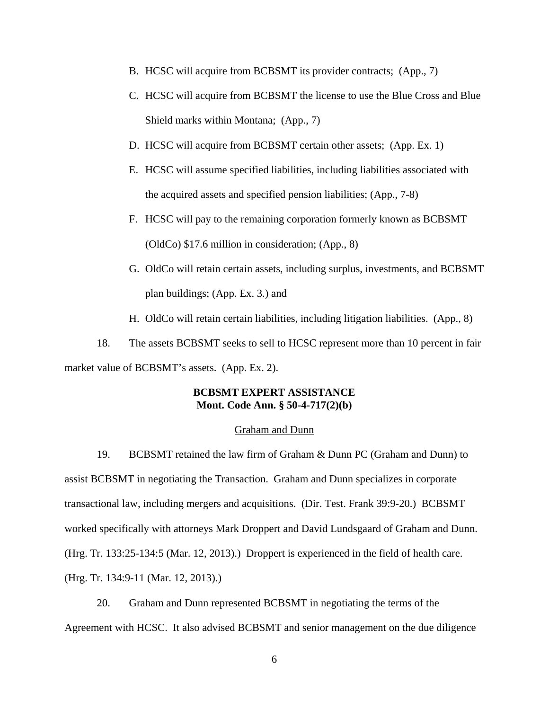- B. HCSC will acquire from BCBSMT its provider contracts; (App., 7)
- C. HCSC will acquire from BCBSMT the license to use the Blue Cross and Blue Shield marks within Montana; (App., 7)
- D. HCSC will acquire from BCBSMT certain other assets; (App. Ex. 1)
- E. HCSC will assume specified liabilities, including liabilities associated with the acquired assets and specified pension liabilities; (App., 7-8)
- F. HCSC will pay to the remaining corporation formerly known as BCBSMT (OldCo) \$17.6 million in consideration; (App., 8)
- G. OldCo will retain certain assets, including surplus, investments, and BCBSMT plan buildings; (App. Ex. 3.) and
- H. OldCo will retain certain liabilities, including litigation liabilities. (App., 8)

18. The assets BCBSMT seeks to sell to HCSC represent more than 10 percent in fair market value of BCBSMT's assets. (App. Ex. 2).

### **BCBSMT EXPERT ASSISTANCE Mont. Code Ann. § 50-4-717(2)(b)**

### Graham and Dunn

19. BCBSMT retained the law firm of Graham & Dunn PC (Graham and Dunn) to assist BCBSMT in negotiating the Transaction. Graham and Dunn specializes in corporate transactional law, including mergers and acquisitions. (Dir. Test. Frank 39:9-20.) BCBSMT worked specifically with attorneys Mark Droppert and David Lundsgaard of Graham and Dunn. (Hrg. Tr. 133:25-134:5 (Mar. 12, 2013).) Droppert is experienced in the field of health care. (Hrg. Tr. 134:9-11 (Mar. 12, 2013).)

20. Graham and Dunn represented BCBSMT in negotiating the terms of the Agreement with HCSC. It also advised BCBSMT and senior management on the due diligence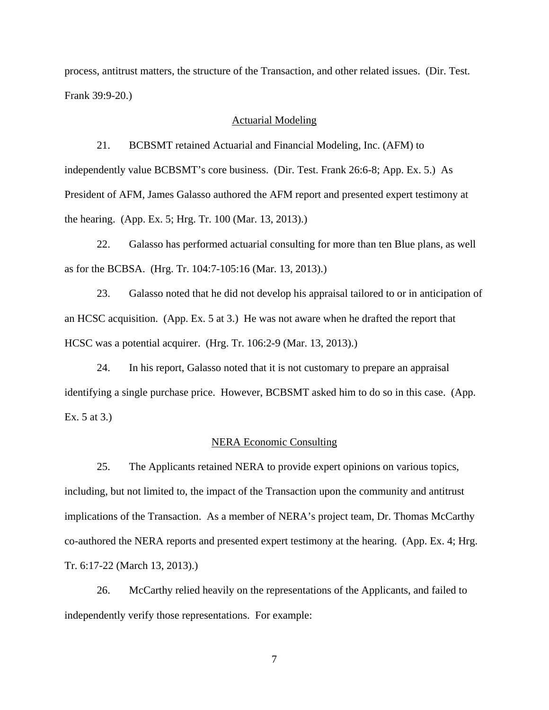process, antitrust matters, the structure of the Transaction, and other related issues. (Dir. Test. Frank 39:9-20.)

#### Actuarial Modeling

21. BCBSMT retained Actuarial and Financial Modeling, Inc. (AFM) to independently value BCBSMT's core business. (Dir. Test. Frank 26:6-8; App. Ex. 5.) As President of AFM, James Galasso authored the AFM report and presented expert testimony at the hearing. (App. Ex. 5; Hrg. Tr. 100 (Mar. 13, 2013).)

22. Galasso has performed actuarial consulting for more than ten Blue plans, as well as for the BCBSA. (Hrg. Tr. 104:7-105:16 (Mar. 13, 2013).)

23. Galasso noted that he did not develop his appraisal tailored to or in anticipation of an HCSC acquisition. (App. Ex. 5 at 3.) He was not aware when he drafted the report that HCSC was a potential acquirer. (Hrg. Tr. 106:2-9 (Mar. 13, 2013).)

24. In his report, Galasso noted that it is not customary to prepare an appraisal identifying a single purchase price. However, BCBSMT asked him to do so in this case. (App. Ex. 5 at 3.)

### NERA Economic Consulting

25. The Applicants retained NERA to provide expert opinions on various topics, including, but not limited to, the impact of the Transaction upon the community and antitrust implications of the Transaction. As a member of NERA's project team, Dr. Thomas McCarthy co-authored the NERA reports and presented expert testimony at the hearing. (App. Ex. 4; Hrg. Tr. 6:17-22 (March 13, 2013).)

26. McCarthy relied heavily on the representations of the Applicants, and failed to independently verify those representations. For example: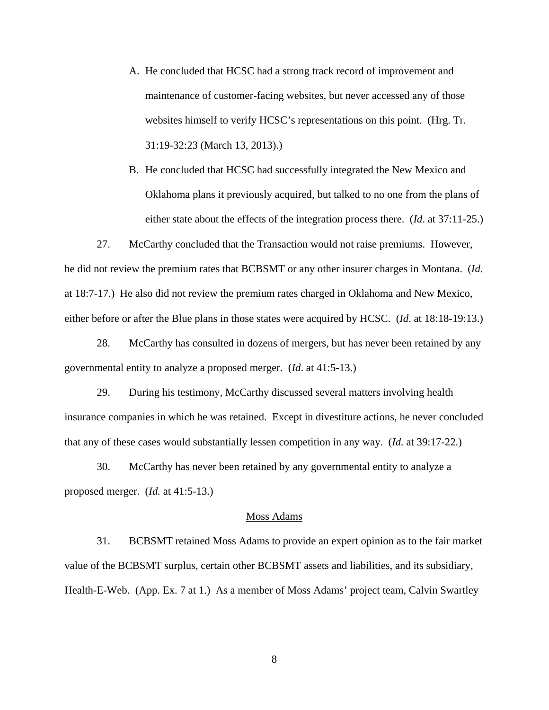- A. He concluded that HCSC had a strong track record of improvement and maintenance of customer-facing websites, but never accessed any of those websites himself to verify HCSC's representations on this point. (Hrg. Tr. 31:19-32:23 (March 13, 2013).)
- B. He concluded that HCSC had successfully integrated the New Mexico and Oklahoma plans it previously acquired, but talked to no one from the plans of either state about the effects of the integration process there. (*Id*. at 37:11-25.)

27. McCarthy concluded that the Transaction would not raise premiums. However, he did not review the premium rates that BCBSMT or any other insurer charges in Montana. (*Id*. at 18:7-17.) He also did not review the premium rates charged in Oklahoma and New Mexico, either before or after the Blue plans in those states were acquired by HCSC. (*Id*. at 18:18-19:13.)

28. McCarthy has consulted in dozens of mergers, but has never been retained by any governmental entity to analyze a proposed merger. (*Id*. at 41:5-13.)

29. During his testimony, McCarthy discussed several matters involving health insurance companies in which he was retained. Except in divestiture actions, he never concluded that any of these cases would substantially lessen competition in any way. (*Id.* at 39:17-22.)

30. McCarthy has never been retained by any governmental entity to analyze a proposed merger. (*Id.* at 41:5-13.)

#### Moss Adams

31. BCBSMT retained Moss Adams to provide an expert opinion as to the fair market value of the BCBSMT surplus, certain other BCBSMT assets and liabilities, and its subsidiary, Health-E-Web. (App. Ex. 7 at 1.) As a member of Moss Adams' project team, Calvin Swartley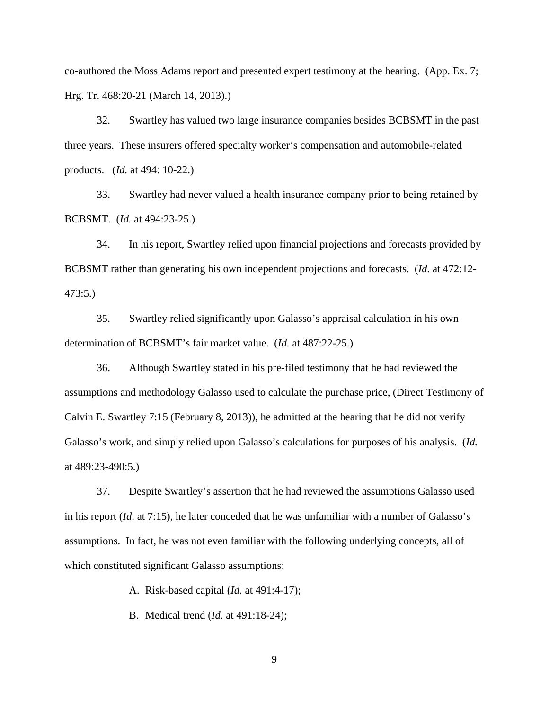co-authored the Moss Adams report and presented expert testimony at the hearing. (App. Ex. 7; Hrg. Tr. 468:20-21 (March 14, 2013).)

32. Swartley has valued two large insurance companies besides BCBSMT in the past three years. These insurers offered specialty worker's compensation and automobile-related products. (*Id.* at 494: 10-22.)

33. Swartley had never valued a health insurance company prior to being retained by BCBSMT. (*Id.* at 494:23-25.)

34. In his report, Swartley relied upon financial projections and forecasts provided by BCBSMT rather than generating his own independent projections and forecasts. (*Id.* at 472:12- 473:5.)

35. Swartley relied significantly upon Galasso's appraisal calculation in his own determination of BCBSMT's fair market value. (*Id.* at 487:22-25.)

36. Although Swartley stated in his pre-filed testimony that he had reviewed the assumptions and methodology Galasso used to calculate the purchase price, (Direct Testimony of Calvin E. Swartley 7:15 (February 8, 2013)), he admitted at the hearing that he did not verify Galasso's work, and simply relied upon Galasso's calculations for purposes of his analysis. (*Id.* at 489:23-490:5.)

37. Despite Swartley's assertion that he had reviewed the assumptions Galasso used in his report (*Id*. at 7:15), he later conceded that he was unfamiliar with a number of Galasso's assumptions. In fact, he was not even familiar with the following underlying concepts, all of which constituted significant Galasso assumptions:

A. Risk-based capital (*Id.* at 491:4-17);

B. Medical trend (*Id.* at 491:18-24);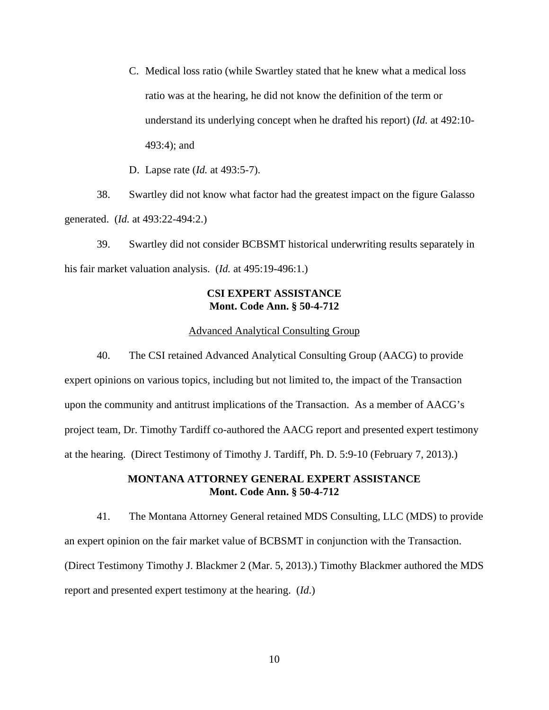C. Medical loss ratio (while Swartley stated that he knew what a medical loss ratio was at the hearing, he did not know the definition of the term or understand its underlying concept when he drafted his report) (*Id.* at 492:10- 493:4); and

D. Lapse rate (*Id.* at 493:5-7).

38. Swartley did not know what factor had the greatest impact on the figure Galasso generated. (*Id.* at 493:22-494:2.)

39. Swartley did not consider BCBSMT historical underwriting results separately in his fair market valuation analysis. (*Id.* at 495:19-496:1.)

## **CSI EXPERT ASSISTANCE Mont. Code Ann. § 50-4-712**

### Advanced Analytical Consulting Group

40. The CSI retained Advanced Analytical Consulting Group (AACG) to provide expert opinions on various topics, including but not limited to, the impact of the Transaction upon the community and antitrust implications of the Transaction. As a member of AACG's project team, Dr. Timothy Tardiff co-authored the AACG report and presented expert testimony at the hearing. (Direct Testimony of Timothy J. Tardiff, Ph. D. 5:9-10 (February 7, 2013).)

## **MONTANA ATTORNEY GENERAL EXPERT ASSISTANCE Mont. Code Ann. § 50-4-712**

41. The Montana Attorney General retained MDS Consulting, LLC (MDS) to provide an expert opinion on the fair market value of BCBSMT in conjunction with the Transaction. (Direct Testimony Timothy J. Blackmer 2 (Mar. 5, 2013).) Timothy Blackmer authored the MDS report and presented expert testimony at the hearing. (*Id*.)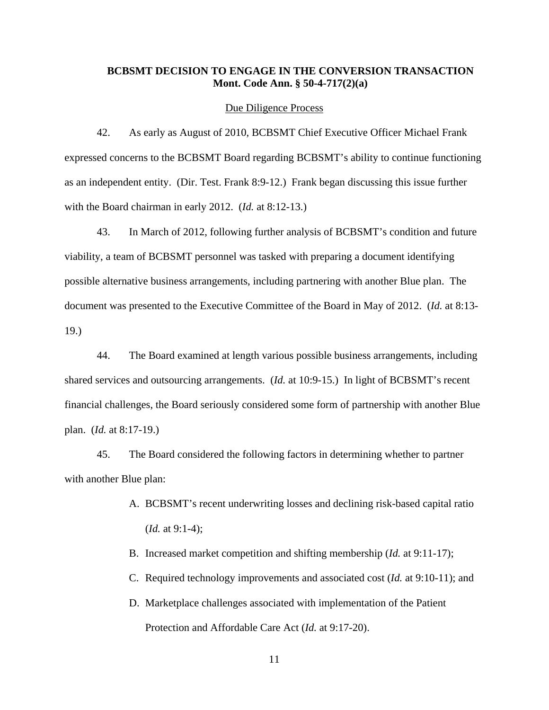## **BCBSMT DECISION TO ENGAGE IN THE CONVERSION TRANSACTION Mont. Code Ann. § 50-4-717(2)(a)**

#### Due Diligence Process

42. As early as August of 2010, BCBSMT Chief Executive Officer Michael Frank expressed concerns to the BCBSMT Board regarding BCBSMT's ability to continue functioning as an independent entity. (Dir. Test. Frank 8:9-12.) Frank began discussing this issue further with the Board chairman in early 2012. (*Id.* at 8:12-13.)

43. In March of 2012, following further analysis of BCBSMT's condition and future viability, a team of BCBSMT personnel was tasked with preparing a document identifying possible alternative business arrangements, including partnering with another Blue plan. The document was presented to the Executive Committee of the Board in May of 2012. (*Id.* at 8:13- 19.)

44. The Board examined at length various possible business arrangements, including shared services and outsourcing arrangements. (*Id.* at 10:9-15.) In light of BCBSMT's recent financial challenges, the Board seriously considered some form of partnership with another Blue plan. (*Id.* at 8:17-19.)

45. The Board considered the following factors in determining whether to partner with another Blue plan:

- A. BCBSMT's recent underwriting losses and declining risk-based capital ratio (*Id.* at 9:1-4);
- B. Increased market competition and shifting membership (*Id.* at 9:11-17);
- C. Required technology improvements and associated cost (*Id.* at 9:10-11); and
- D. Marketplace challenges associated with implementation of the Patient Protection and Affordable Care Act (*Id.* at 9:17-20).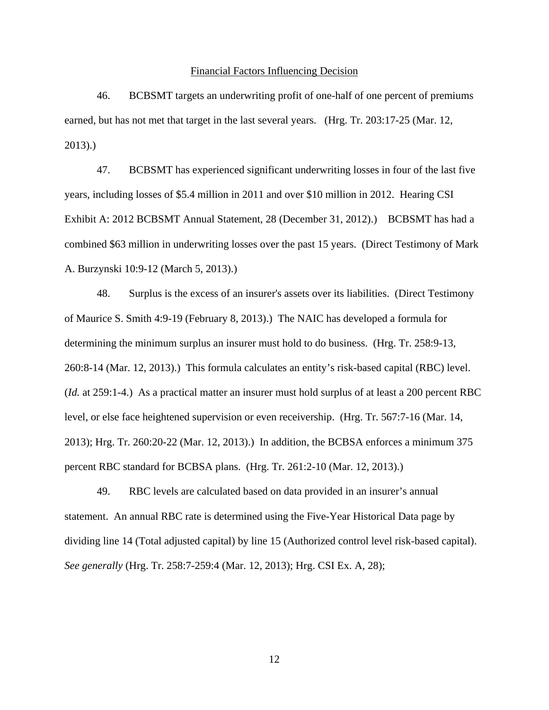#### Financial Factors Influencing Decision

46. BCBSMT targets an underwriting profit of one-half of one percent of premiums earned, but has not met that target in the last several years. (Hrg. Tr. 203:17-25 (Mar. 12, 2013).)

47. BCBSMT has experienced significant underwriting losses in four of the last five years, including losses of \$5.4 million in 2011 and over \$10 million in 2012. Hearing CSI Exhibit A: 2012 BCBSMT Annual Statement, 28 (December 31, 2012).) BCBSMT has had a combined \$63 million in underwriting losses over the past 15 years. (Direct Testimony of Mark A. Burzynski 10:9-12 (March 5, 2013).)

48. Surplus is the excess of an insurer's assets over its liabilities. (Direct Testimony of Maurice S. Smith 4:9-19 (February 8, 2013).) The NAIC has developed a formula for determining the minimum surplus an insurer must hold to do business. (Hrg. Tr. 258:9-13, 260:8-14 (Mar. 12, 2013).) This formula calculates an entity's risk-based capital (RBC) level. (*Id.* at 259:1-4.) As a practical matter an insurer must hold surplus of at least a 200 percent RBC level, or else face heightened supervision or even receivership. (Hrg. Tr. 567:7-16 (Mar. 14, 2013); Hrg. Tr. 260:20-22 (Mar. 12, 2013).) In addition, the BCBSA enforces a minimum 375 percent RBC standard for BCBSA plans. (Hrg. Tr. 261:2-10 (Mar. 12, 2013).)

49. RBC levels are calculated based on data provided in an insurer's annual statement. An annual RBC rate is determined using the Five-Year Historical Data page by dividing line 14 (Total adjusted capital) by line 15 (Authorized control level risk-based capital). *See generally* (Hrg. Tr. 258:7-259:4 (Mar. 12, 2013); Hrg. CSI Ex. A, 28);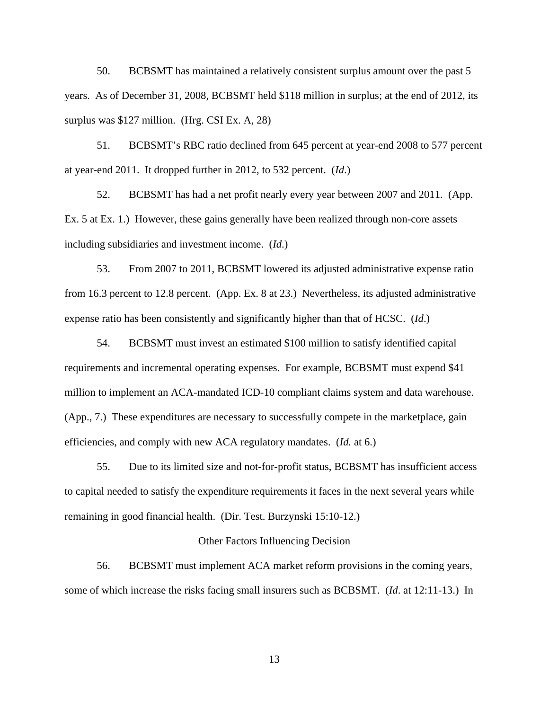50. BCBSMT has maintained a relatively consistent surplus amount over the past 5 years. As of December 31, 2008, BCBSMT held \$118 million in surplus; at the end of 2012, its surplus was \$127 million. (Hrg. CSI Ex. A, 28)

51. BCBSMT's RBC ratio declined from 645 percent at year-end 2008 to 577 percent at year-end 2011. It dropped further in 2012, to 532 percent. (*Id*.)

52. BCBSMT has had a net profit nearly every year between 2007 and 2011. (App. Ex. 5 at Ex. 1.) However, these gains generally have been realized through non-core assets including subsidiaries and investment income. (*Id*.)

53. From 2007 to 2011, BCBSMT lowered its adjusted administrative expense ratio from 16.3 percent to 12.8 percent. (App. Ex. 8 at 23.) Nevertheless, its adjusted administrative expense ratio has been consistently and significantly higher than that of HCSC. (*Id*.)

54. BCBSMT must invest an estimated \$100 million to satisfy identified capital requirements and incremental operating expenses. For example, BCBSMT must expend \$41 million to implement an ACA-mandated ICD-10 compliant claims system and data warehouse. (App., 7.) These expenditures are necessary to successfully compete in the marketplace, gain efficiencies, and comply with new ACA regulatory mandates. (*Id.* at 6.)

55. Due to its limited size and not-for-profit status, BCBSMT has insufficient access to capital needed to satisfy the expenditure requirements it faces in the next several years while remaining in good financial health. (Dir. Test. Burzynski 15:10-12.)

### Other Factors Influencing Decision

56. BCBSMT must implement ACA market reform provisions in the coming years, some of which increase the risks facing small insurers such as BCBSMT. (*Id*. at 12:11-13.) In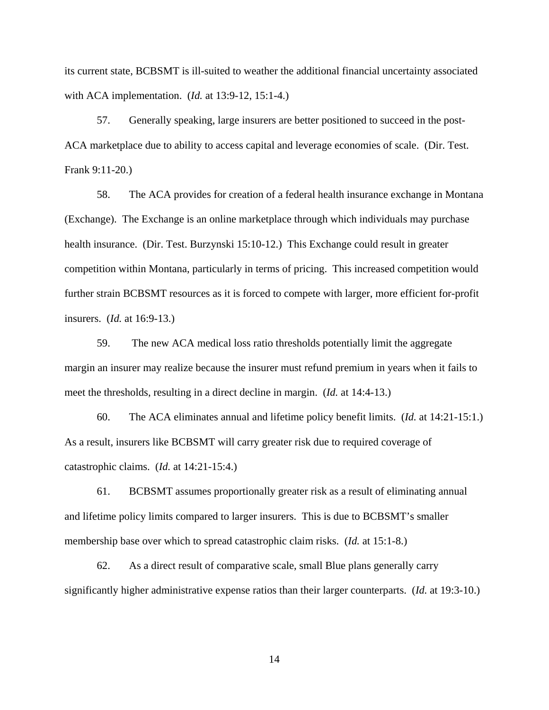its current state, BCBSMT is ill-suited to weather the additional financial uncertainty associated with ACA implementation. (*Id.* at 13:9-12, 15:1-4.)

57. Generally speaking, large insurers are better positioned to succeed in the post-ACA marketplace due to ability to access capital and leverage economies of scale. (Dir. Test. Frank 9:11-20.)

58. The ACA provides for creation of a federal health insurance exchange in Montana (Exchange). The Exchange is an online marketplace through which individuals may purchase health insurance. (Dir. Test. Burzynski 15:10-12.) This Exchange could result in greater competition within Montana, particularly in terms of pricing. This increased competition would further strain BCBSMT resources as it is forced to compete with larger, more efficient for-profit insurers. (*Id.* at 16:9-13.)

59. The new ACA medical loss ratio thresholds potentially limit the aggregate margin an insurer may realize because the insurer must refund premium in years when it fails to meet the thresholds, resulting in a direct decline in margin. (*Id.* at 14:4-13.)

60. The ACA eliminates annual and lifetime policy benefit limits. (*Id.* at 14:21-15:1.) As a result, insurers like BCBSMT will carry greater risk due to required coverage of catastrophic claims. (*Id.* at 14:21-15:4.)

61. BCBSMT assumes proportionally greater risk as a result of eliminating annual and lifetime policy limits compared to larger insurers. This is due to BCBSMT's smaller membership base over which to spread catastrophic claim risks. (*Id.* at 15:1-8.)

62. As a direct result of comparative scale, small Blue plans generally carry significantly higher administrative expense ratios than their larger counterparts. (*Id.* at 19:3-10.)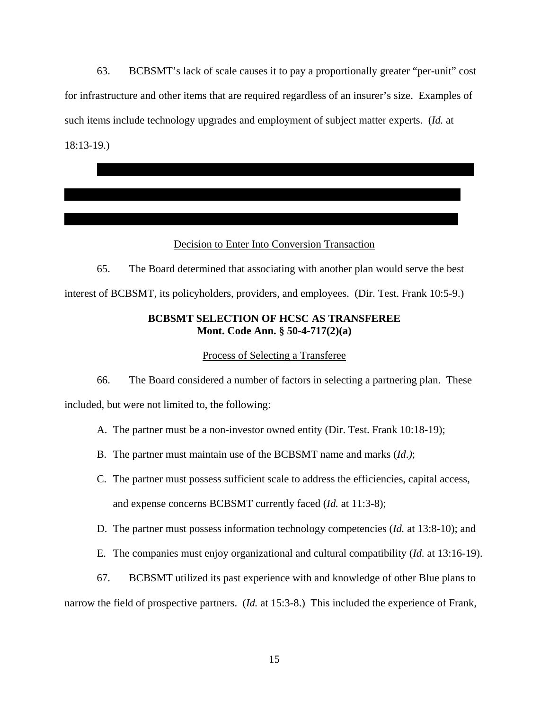63. BCBSMT's lack of scale causes it to pay a proportionally greater "per-unit" cost for infrastructure and other items that are required regardless of an insurer's size. Examples of such items include technology upgrades and employment of subject matter experts. (*Id.* at 18:13-19.)

#### Decision to Enter Into Conversion Transaction

65. The Board determined that associating with another plan would serve the best interest of BCBSMT, its policyholders, providers, and employees. (Dir. Test. Frank 10:5-9.)

## **BCBSMT SELECTION OF HCSC AS TRANSFEREE Mont. Code Ann. § 50-4-717(2)(a)**

### Process of Selecting a Transferee

66. The Board considered a number of factors in selecting a partnering plan. These included, but were not limited to, the following:

- A. The partner must be a non-investor owned entity (Dir. Test. Frank 10:18-19);
- B. The partner must maintain use of the BCBSMT name and marks (*Id*.*)*;
- C. The partner must possess sufficient scale to address the efficiencies, capital access, and expense concerns BCBSMT currently faced (*Id.* at 11:3-8);
- D. The partner must possess information technology competencies (*Id.* at 13:8-10); and
- E. The companies must enjoy organizational and cultural compatibility (*Id.* at 13:16-19).
- 67. BCBSMT utilized its past experience with and knowledge of other Blue plans to

narrow the field of prospective partners. (*Id.* at 15:3-8.) This included the experience of Frank,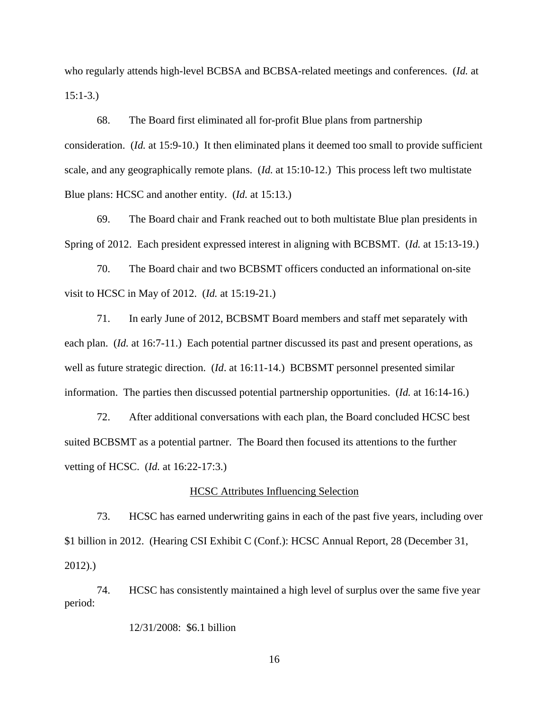who regularly attends high-level BCBSA and BCBSA-related meetings and conferences. (*Id.* at 15:1-3.)

68. The Board first eliminated all for-profit Blue plans from partnership consideration. (*Id.* at 15:9-10.) It then eliminated plans it deemed too small to provide sufficient scale, and any geographically remote plans. (*Id.* at 15:10-12.) This process left two multistate Blue plans: HCSC and another entity. (*Id.* at 15:13.)

69. The Board chair and Frank reached out to both multistate Blue plan presidents in Spring of 2012. Each president expressed interest in aligning with BCBSMT. (*Id.* at 15:13-19.)

70. The Board chair and two BCBSMT officers conducted an informational on-site visit to HCSC in May of 2012. (*Id.* at 15:19-21.)

71. In early June of 2012, BCBSMT Board members and staff met separately with each plan. *(Id.* at 16:7-11.) Each potential partner discussed its past and present operations, as well as future strategic direction. (*Id*. at 16:11-14.) BCBSMT personnel presented similar information. The parties then discussed potential partnership opportunities. (*Id.* at 16:14-16.)

72. After additional conversations with each plan, the Board concluded HCSC best suited BCBSMT as a potential partner. The Board then focused its attentions to the further vetting of HCSC. (*Id.* at 16:22-17:3.)

### HCSC Attributes Influencing Selection

73. HCSC has earned underwriting gains in each of the past five years, including over \$1 billion in 2012. (Hearing CSI Exhibit C (Conf.): HCSC Annual Report, 28 (December 31, 2012).)

74. HCSC has consistently maintained a high level of surplus over the same five year period:

#### 12/31/2008: \$6.1 billion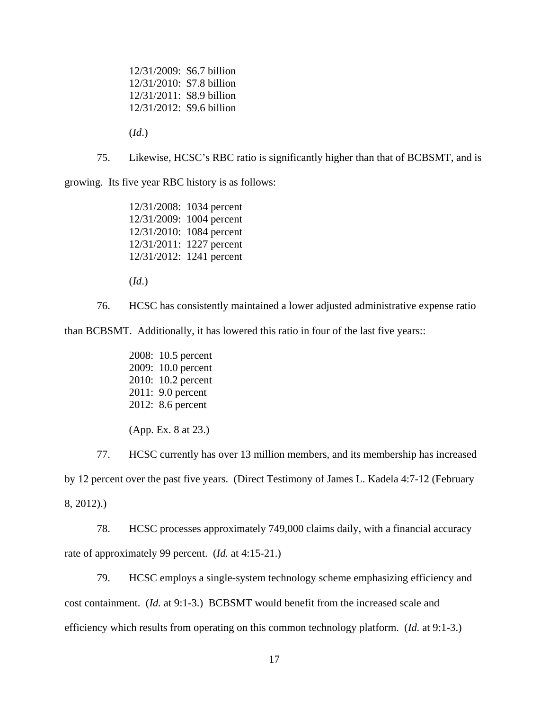12/31/2009: \$6.7 billion 12/31/2010: \$7.8 billion 12/31/2011: \$8.9 billion 12/31/2012: \$9.6 billion (*Id*.)

75. Likewise, HCSC's RBC ratio is significantly higher than that of BCBSMT, and is

growing. Its five year RBC history is as follows:

12/31/2008: 1034 percent 12/31/2009: 1004 percent 12/31/2010: 1084 percent 12/31/2011: 1227 percent 12/31/2012: 1241 percent

(*Id*.)

76. HCSC has consistently maintained a lower adjusted administrative expense ratio

than BCBSMT. Additionally, it has lowered this ratio in four of the last five years::

 2008: 10.5 percent 2009: 10.0 percent 2010: 10.2 percent 2011: 9.0 percent 2012: 8.6 percent

(App. Ex. 8 at 23.)

77. HCSC currently has over 13 million members, and its membership has increased by 12 percent over the past five years. (Direct Testimony of James L. Kadela 4:7-12 (February 8, 2012).)

78. HCSC processes approximately 749,000 claims daily, with a financial accuracy rate of approximately 99 percent. (*Id.* at 4:15-21.)

79. HCSC employs a single-system technology scheme emphasizing efficiency and cost containment. (*Id.* at 9:1-3.) BCBSMT would benefit from the increased scale and efficiency which results from operating on this common technology platform. (*Id.* at 9:1-3.)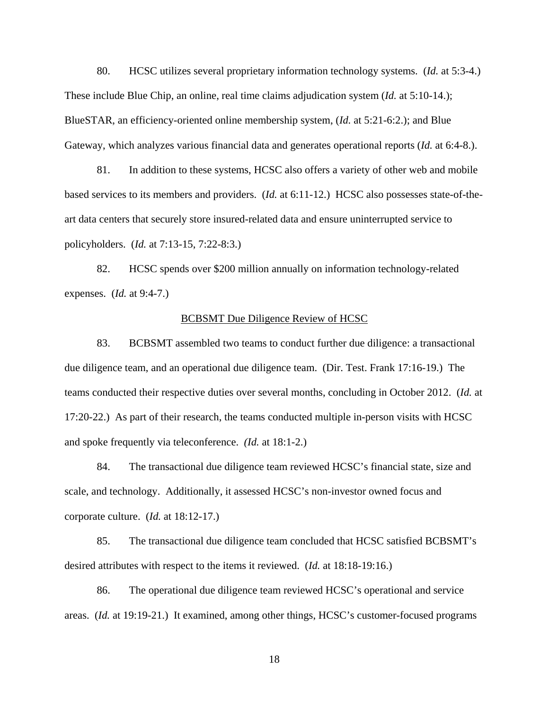80. HCSC utilizes several proprietary information technology systems. (*Id.* at 5:3-4.) These include Blue Chip, an online, real time claims adjudication system (*Id.* at 5:10-14.); BlueSTAR, an efficiency-oriented online membership system, (*Id.* at 5:21-6:2.); and Blue Gateway, which analyzes various financial data and generates operational reports (*Id.* at 6:4-8.).

81. In addition to these systems, HCSC also offers a variety of other web and mobile based services to its members and providers. (*Id.* at 6:11-12.) HCSC also possesses state-of-theart data centers that securely store insured-related data and ensure uninterrupted service to policyholders. (*Id.* at 7:13-15, 7:22-8:3.)

82. HCSC spends over \$200 million annually on information technology-related expenses. (*Id.* at 9:4-7.)

#### BCBSMT Due Diligence Review of HCSC

83. BCBSMT assembled two teams to conduct further due diligence: a transactional due diligence team, and an operational due diligence team. (Dir. Test. Frank 17:16-19.) The teams conducted their respective duties over several months, concluding in October 2012. (*Id.* at 17:20-22.) As part of their research, the teams conducted multiple in-person visits with HCSC and spoke frequently via teleconference. *(Id.* at 18:1-2.)

84. The transactional due diligence team reviewed HCSC's financial state, size and scale, and technology. Additionally, it assessed HCSC's non-investor owned focus and corporate culture. (*Id.* at 18:12-17.)

85. The transactional due diligence team concluded that HCSC satisfied BCBSMT's desired attributes with respect to the items it reviewed. (*Id.* at 18:18-19:16.)

86. The operational due diligence team reviewed HCSC's operational and service areas. (*Id.* at 19:19-21.) It examined, among other things, HCSC's customer-focused programs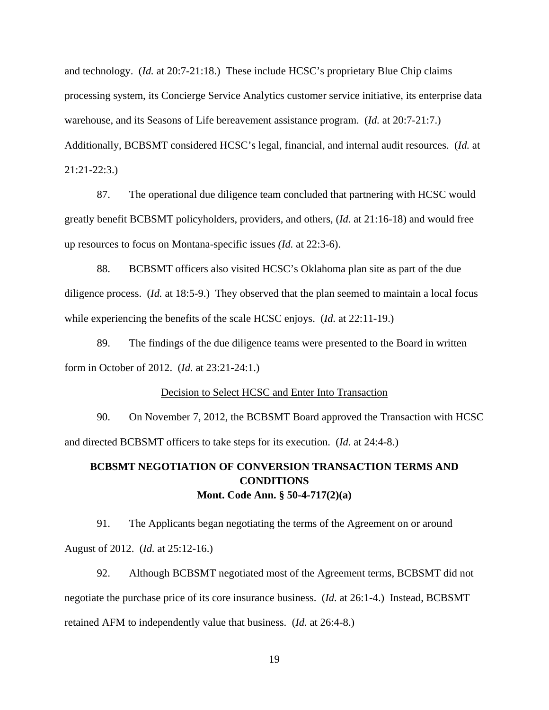and technology. (*Id.* at 20:7-21:18.) These include HCSC's proprietary Blue Chip claims processing system, its Concierge Service Analytics customer service initiative, its enterprise data warehouse, and its Seasons of Life bereavement assistance program. (*Id.* at 20:7-21:7.) Additionally, BCBSMT considered HCSC's legal, financial, and internal audit resources. (*Id.* at 21:21-22:3.)

87. The operational due diligence team concluded that partnering with HCSC would greatly benefit BCBSMT policyholders, providers, and others, (*Id.* at 21:16-18) and would free up resources to focus on Montana-specific issues *(Id.* at 22:3-6).

88. BCBSMT officers also visited HCSC's Oklahoma plan site as part of the due diligence process. (*Id.* at 18:5-9.) They observed that the plan seemed to maintain a local focus while experiencing the benefits of the scale HCSC enjoys. (*Id.* at 22:11-19.)

89. The findings of the due diligence teams were presented to the Board in written form in October of 2012. (*Id.* at 23:21-24:1.)

#### Decision to Select HCSC and Enter Into Transaction

90. On November 7, 2012, the BCBSMT Board approved the Transaction with HCSC and directed BCBSMT officers to take steps for its execution. (*Id.* at 24:4-8.)

# **BCBSMT NEGOTIATION OF CONVERSION TRANSACTION TERMS AND CONDITIONS Mont. Code Ann. § 50-4-717(2)(a)**

91. The Applicants began negotiating the terms of the Agreement on or around August of 2012. (*Id.* at 25:12-16.)

92. Although BCBSMT negotiated most of the Agreement terms, BCBSMT did not negotiate the purchase price of its core insurance business. (*Id.* at 26:1-4.) Instead, BCBSMT retained AFM to independently value that business. (*Id.* at 26:4-8.)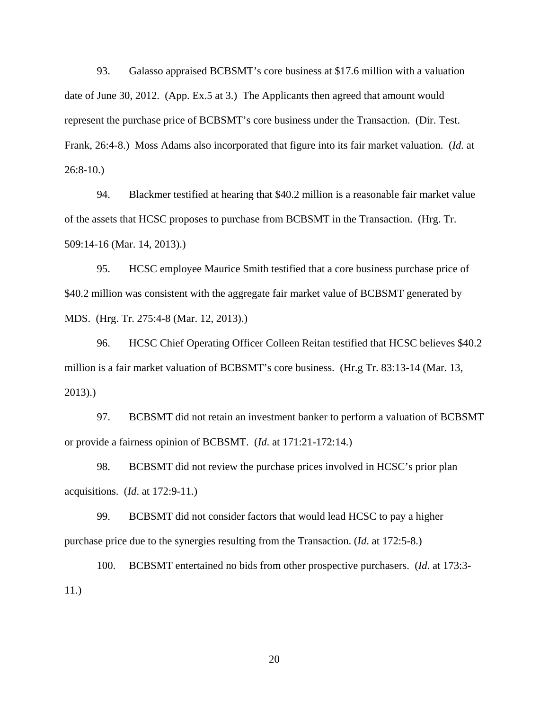93. Galasso appraised BCBSMT's core business at \$17.6 million with a valuation date of June 30, 2012. (App. Ex.5 at 3.) The Applicants then agreed that amount would represent the purchase price of BCBSMT's core business under the Transaction. (Dir. Test. Frank, 26:4-8.) Moss Adams also incorporated that figure into its fair market valuation. (*Id.* at  $26:8-10.$ 

94. Blackmer testified at hearing that \$40.2 million is a reasonable fair market value of the assets that HCSC proposes to purchase from BCBSMT in the Transaction. (Hrg. Tr. 509:14-16 (Mar. 14, 2013).)

95. HCSC employee Maurice Smith testified that a core business purchase price of \$40.2 million was consistent with the aggregate fair market value of BCBSMT generated by MDS. (Hrg. Tr. 275:4-8 (Mar. 12, 2013).)

96. HCSC Chief Operating Officer Colleen Reitan testified that HCSC believes \$40.2 million is a fair market valuation of BCBSMT's core business. (Hr.g Tr. 83:13-14 (Mar. 13, 2013).)

97. BCBSMT did not retain an investment banker to perform a valuation of BCBSMT or provide a fairness opinion of BCBSMT. (*Id*. at 171:21-172:14.)

98. BCBSMT did not review the purchase prices involved in HCSC's prior plan acquisitions. (*Id*. at 172:9-11.)

99. BCBSMT did not consider factors that would lead HCSC to pay a higher purchase price due to the synergies resulting from the Transaction. (*Id*. at 172:5-8.)

100. BCBSMT entertained no bids from other prospective purchasers. (*Id*. at 173:3- 11.)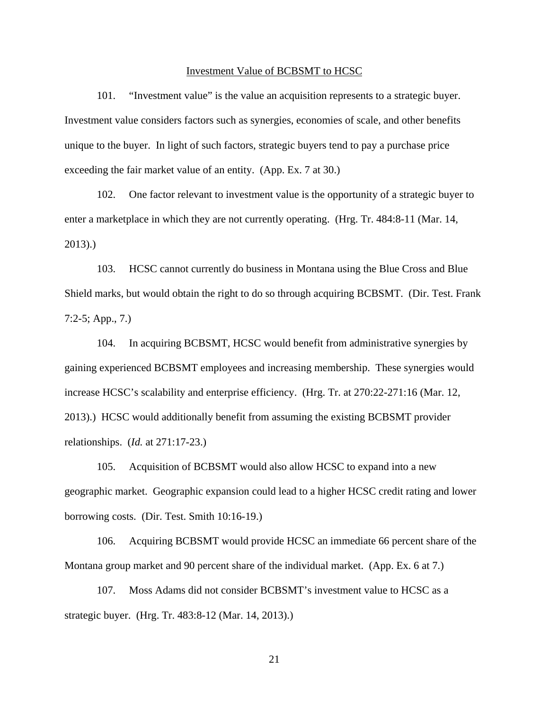#### Investment Value of BCBSMT to HCSC

101. "Investment value" is the value an acquisition represents to a strategic buyer. Investment value considers factors such as synergies, economies of scale, and other benefits unique to the buyer. In light of such factors, strategic buyers tend to pay a purchase price exceeding the fair market value of an entity. (App. Ex. 7 at 30.)

102. One factor relevant to investment value is the opportunity of a strategic buyer to enter a marketplace in which they are not currently operating. (Hrg. Tr. 484:8-11 (Mar. 14, 2013).)

103. HCSC cannot currently do business in Montana using the Blue Cross and Blue Shield marks, but would obtain the right to do so through acquiring BCBSMT. (Dir. Test. Frank 7:2-5; App., 7.)

104. In acquiring BCBSMT, HCSC would benefit from administrative synergies by gaining experienced BCBSMT employees and increasing membership. These synergies would increase HCSC's scalability and enterprise efficiency. (Hrg. Tr. at 270:22-271:16 (Mar. 12, 2013).) HCSC would additionally benefit from assuming the existing BCBSMT provider relationships. (*Id.* at 271:17-23.)

105. Acquisition of BCBSMT would also allow HCSC to expand into a new geographic market. Geographic expansion could lead to a higher HCSC credit rating and lower borrowing costs. (Dir. Test. Smith 10:16-19.)

106. Acquiring BCBSMT would provide HCSC an immediate 66 percent share of the Montana group market and 90 percent share of the individual market. (App. Ex. 6 at 7.)

107. Moss Adams did not consider BCBSMT's investment value to HCSC as a strategic buyer. (Hrg. Tr. 483:8-12 (Mar. 14, 2013).)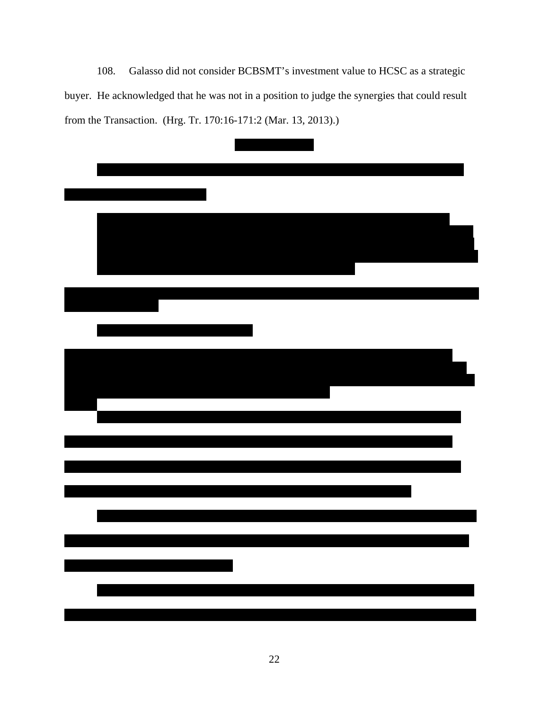108. Galasso did not consider BCBSMT's investment value to HCSC as a strategic buyer. He acknowledged that he was not in a position to judge the synergies that could result from the Transaction. (Hrg. Tr. 170:16-171:2 (Mar. 13, 2013).)

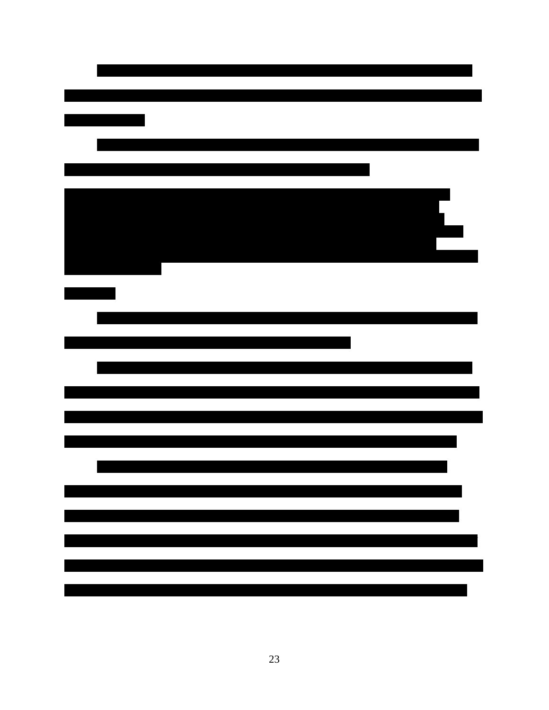|  | <u> 1989 - Jan Sterling States (b. 1989)</u> |  |
|--|----------------------------------------------|--|
|  |                                              |  |
|  |                                              |  |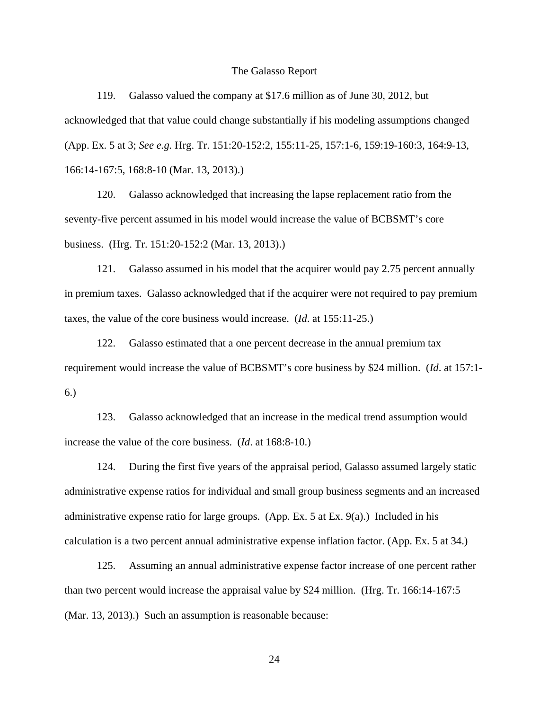#### The Galasso Report

119. Galasso valued the company at \$17.6 million as of June 30, 2012, but acknowledged that that value could change substantially if his modeling assumptions changed (App. Ex. 5 at 3; *See e.g.* Hrg. Tr. 151:20-152:2, 155:11-25, 157:1-6, 159:19-160:3, 164:9-13, 166:14-167:5, 168:8-10 (Mar. 13, 2013).)

120. Galasso acknowledged that increasing the lapse replacement ratio from the seventy-five percent assumed in his model would increase the value of BCBSMT's core business. (Hrg. Tr. 151:20-152:2 (Mar. 13, 2013).)

121. Galasso assumed in his model that the acquirer would pay 2.75 percent annually in premium taxes. Galasso acknowledged that if the acquirer were not required to pay premium taxes, the value of the core business would increase. (*Id*. at 155:11-25.)

122. Galasso estimated that a one percent decrease in the annual premium tax requirement would increase the value of BCBSMT's core business by \$24 million. (*Id*. at 157:1- 6.)

123. Galasso acknowledged that an increase in the medical trend assumption would increase the value of the core business. (*Id*. at 168:8-10.)

124. During the first five years of the appraisal period, Galasso assumed largely static administrative expense ratios for individual and small group business segments and an increased administrative expense ratio for large groups. (App. Ex. 5 at Ex. 9(a).) Included in his calculation is a two percent annual administrative expense inflation factor. (App. Ex. 5 at 34.)

125. Assuming an annual administrative expense factor increase of one percent rather than two percent would increase the appraisal value by \$24 million. (Hrg. Tr. 166:14-167:5 (Mar. 13, 2013).) Such an assumption is reasonable because: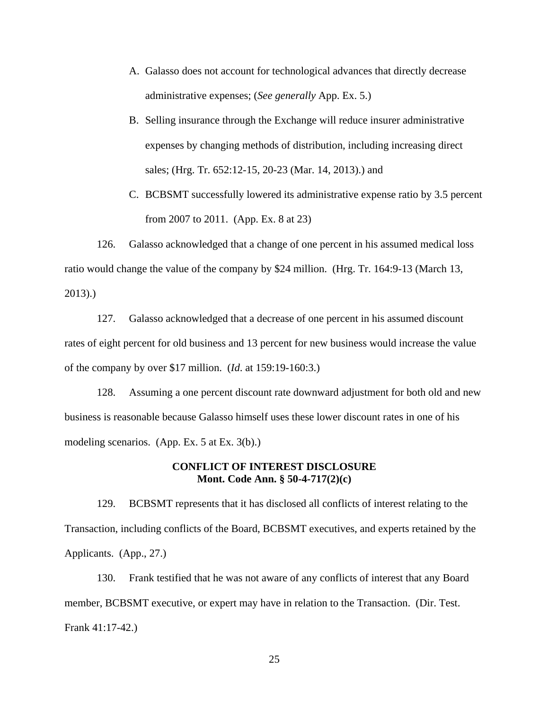- A. Galasso does not account for technological advances that directly decrease administrative expenses; (*See generally* App. Ex. 5.)
- B. Selling insurance through the Exchange will reduce insurer administrative expenses by changing methods of distribution, including increasing direct sales; (Hrg. Tr. 652:12-15, 20-23 (Mar. 14, 2013).) and
- C. BCBSMT successfully lowered its administrative expense ratio by 3.5 percent from 2007 to 2011. (App. Ex. 8 at 23)

126. Galasso acknowledged that a change of one percent in his assumed medical loss ratio would change the value of the company by \$24 million. (Hrg. Tr. 164:9-13 (March 13, 2013).)

127. Galasso acknowledged that a decrease of one percent in his assumed discount rates of eight percent for old business and 13 percent for new business would increase the value of the company by over \$17 million. (*Id*. at 159:19-160:3.)

128. Assuming a one percent discount rate downward adjustment for both old and new business is reasonable because Galasso himself uses these lower discount rates in one of his modeling scenarios. (App. Ex. 5 at Ex. 3(b).)

### **CONFLICT OF INTEREST DISCLOSURE Mont. Code Ann. § 50-4-717(2)(c)**

129. BCBSMT represents that it has disclosed all conflicts of interest relating to the Transaction, including conflicts of the Board, BCBSMT executives, and experts retained by the Applicants. (App., 27.)

130. Frank testified that he was not aware of any conflicts of interest that any Board member, BCBSMT executive, or expert may have in relation to the Transaction. (Dir. Test. Frank 41:17-42.)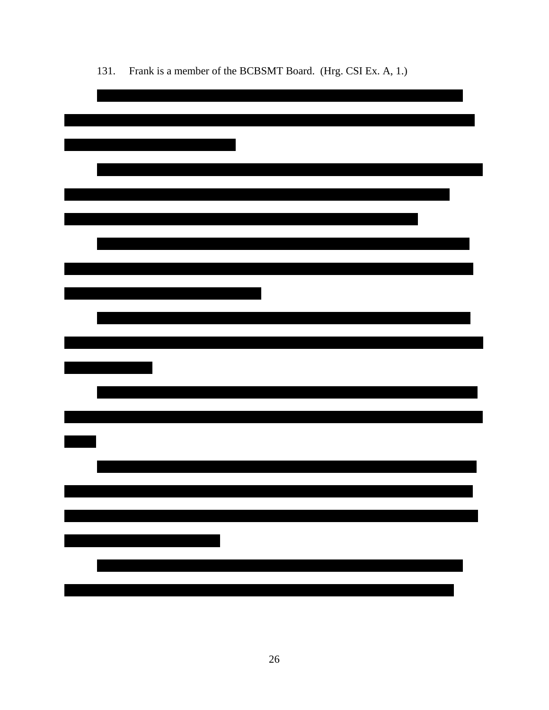| <u> 1989 - Johann Barn, amerikansk politiker (d. 1989)</u> |  |  |
|------------------------------------------------------------|--|--|
|                                                            |  |  |
|                                                            |  |  |
|                                                            |  |  |
|                                                            |  |  |
|                                                            |  |  |
|                                                            |  |  |
|                                                            |  |  |
|                                                            |  |  |
|                                                            |  |  |

131. Frank is a member of the BCBSMT Board. (Hrg. CSI Ex. A, 1.)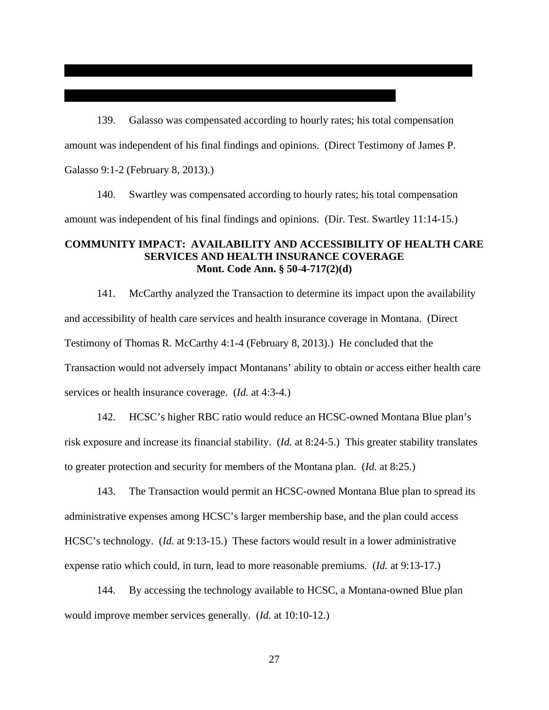139. Galasso was compensated according to hourly rates; his total compensation amount was independent of his final findings and opinions. (Direct Testimony of James P. Galasso 9:1-2 (February 8, 2013).)

140. Swartley was compensated according to hourly rates; his total compensation amount was independent of his final findings and opinions. (Dir. Test. Swartley 11:14-15.)

## **COMMUNITY IMPACT: AVAILABILITY AND ACCESSIBILITY OF HEALTH CARE SERVICES AND HEALTH INSURANCE COVERAGE Mont. Code Ann. § 50-4-717(2)(d)**

141. McCarthy analyzed the Transaction to determine its impact upon the availability and accessibility of health care services and health insurance coverage in Montana. (Direct Testimony of Thomas R. McCarthy 4:1-4 (February 8, 2013).) He concluded that the Transaction would not adversely impact Montanans' ability to obtain or access either health care services or health insurance coverage. (*Id.* at 4:3-4.)

142. HCSC's higher RBC ratio would reduce an HCSC-owned Montana Blue plan's risk exposure and increase its financial stability. (*Id.* at 8:24-5.) This greater stability translates to greater protection and security for members of the Montana plan. (*Id.* at 8:25.)

143. The Transaction would permit an HCSC-owned Montana Blue plan to spread its administrative expenses among HCSC's larger membership base, and the plan could access HCSC's technology. (*Id.* at 9:13-15.) These factors would result in a lower administrative expense ratio which could, in turn, lead to more reasonable premiums. (*Id.* at 9:13-17.)

144. By accessing the technology available to HCSC, a Montana-owned Blue plan would improve member services generally. (*Id.* at 10:10-12.)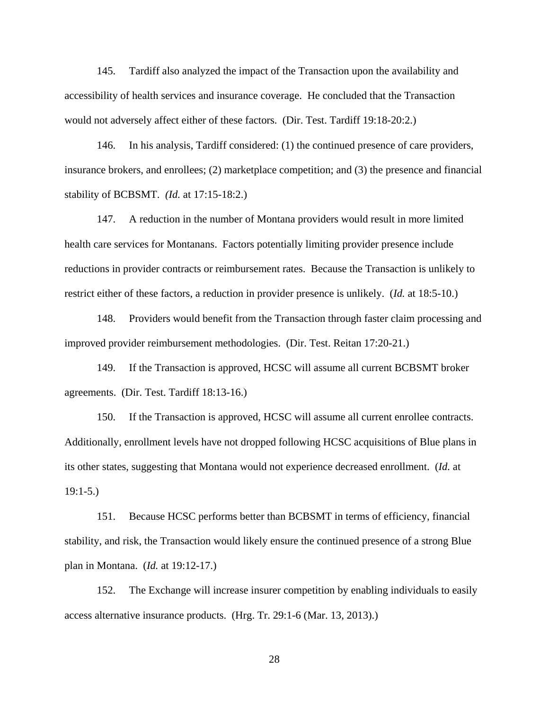145. Tardiff also analyzed the impact of the Transaction upon the availability and accessibility of health services and insurance coverage. He concluded that the Transaction would not adversely affect either of these factors. (Dir. Test. Tardiff 19:18-20:2.)

146. In his analysis, Tardiff considered: (1) the continued presence of care providers, insurance brokers, and enrollees; (2) marketplace competition; and (3) the presence and financial stability of BCBSMT. *(Id.* at 17:15-18:2.)

147. A reduction in the number of Montana providers would result in more limited health care services for Montanans. Factors potentially limiting provider presence include reductions in provider contracts or reimbursement rates. Because the Transaction is unlikely to restrict either of these factors, a reduction in provider presence is unlikely. (*Id.* at 18:5-10.)

148. Providers would benefit from the Transaction through faster claim processing and improved provider reimbursement methodologies. (Dir. Test. Reitan 17:20-21.)

149. If the Transaction is approved, HCSC will assume all current BCBSMT broker agreements. (Dir. Test. Tardiff 18:13-16.)

150. If the Transaction is approved, HCSC will assume all current enrollee contracts. Additionally, enrollment levels have not dropped following HCSC acquisitions of Blue plans in its other states, suggesting that Montana would not experience decreased enrollment. (*Id.* at 19:1-5.)

151. Because HCSC performs better than BCBSMT in terms of efficiency, financial stability, and risk, the Transaction would likely ensure the continued presence of a strong Blue plan in Montana. (*Id.* at 19:12-17.)

152. The Exchange will increase insurer competition by enabling individuals to easily access alternative insurance products. (Hrg. Tr. 29:1-6 (Mar. 13, 2013).)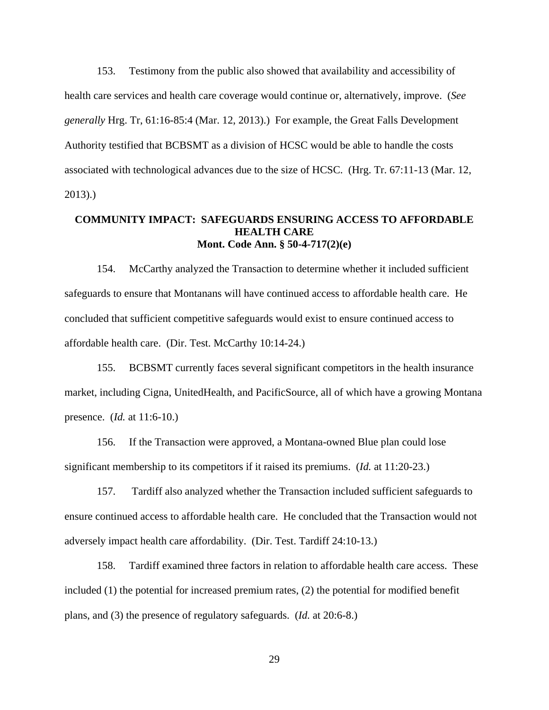153. Testimony from the public also showed that availability and accessibility of health care services and health care coverage would continue or, alternatively, improve. (*See generally* Hrg. Tr, 61:16-85:4 (Mar. 12, 2013).) For example, the Great Falls Development Authority testified that BCBSMT as a division of HCSC would be able to handle the costs associated with technological advances due to the size of HCSC. (Hrg. Tr. 67:11-13 (Mar. 12, 2013).)

### **COMMUNITY IMPACT: SAFEGUARDS ENSURING ACCESS TO AFFORDABLE HEALTH CARE Mont. Code Ann. § 50-4-717(2)(e)**

154. McCarthy analyzed the Transaction to determine whether it included sufficient safeguards to ensure that Montanans will have continued access to affordable health care. He concluded that sufficient competitive safeguards would exist to ensure continued access to affordable health care. (Dir. Test. McCarthy 10:14-24.)

155. BCBSMT currently faces several significant competitors in the health insurance market, including Cigna, UnitedHealth, and PacificSource, all of which have a growing Montana presence. (*Id.* at 11:6-10.)

156. If the Transaction were approved, a Montana-owned Blue plan could lose significant membership to its competitors if it raised its premiums. (*Id.* at 11:20-23.)

157. Tardiff also analyzed whether the Transaction included sufficient safeguards to ensure continued access to affordable health care. He concluded that the Transaction would not adversely impact health care affordability. (Dir. Test. Tardiff 24:10-13.)

158. Tardiff examined three factors in relation to affordable health care access. These included (1) the potential for increased premium rates, (2) the potential for modified benefit plans, and (3) the presence of regulatory safeguards. (*Id.* at 20:6-8.)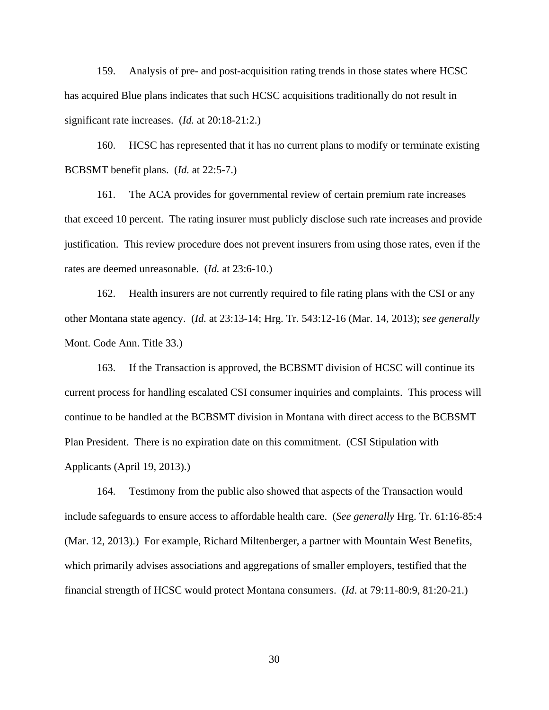159. Analysis of pre- and post-acquisition rating trends in those states where HCSC has acquired Blue plans indicates that such HCSC acquisitions traditionally do not result in significant rate increases. (*Id.* at 20:18-21:2.)

160. HCSC has represented that it has no current plans to modify or terminate existing BCBSMT benefit plans. (*Id.* at 22:5-7.)

161. The ACA provides for governmental review of certain premium rate increases that exceed 10 percent. The rating insurer must publicly disclose such rate increases and provide justification. This review procedure does not prevent insurers from using those rates, even if the rates are deemed unreasonable. (*Id.* at 23:6-10.)

162. Health insurers are not currently required to file rating plans with the CSI or any other Montana state agency. (*Id.* at 23:13-14; Hrg. Tr. 543:12-16 (Mar. 14, 2013); *see generally*  Mont. Code Ann. Title 33.)

163. If the Transaction is approved, the BCBSMT division of HCSC will continue its current process for handling escalated CSI consumer inquiries and complaints. This process will continue to be handled at the BCBSMT division in Montana with direct access to the BCBSMT Plan President. There is no expiration date on this commitment. (CSI Stipulation with Applicants (April 19, 2013).)

164. Testimony from the public also showed that aspects of the Transaction would include safeguards to ensure access to affordable health care. (*See generally* Hrg. Tr. 61:16-85:4 (Mar. 12, 2013).) For example, Richard Miltenberger, a partner with Mountain West Benefits, which primarily advises associations and aggregations of smaller employers, testified that the financial strength of HCSC would protect Montana consumers. (*Id*. at 79:11-80:9, 81:20-21.)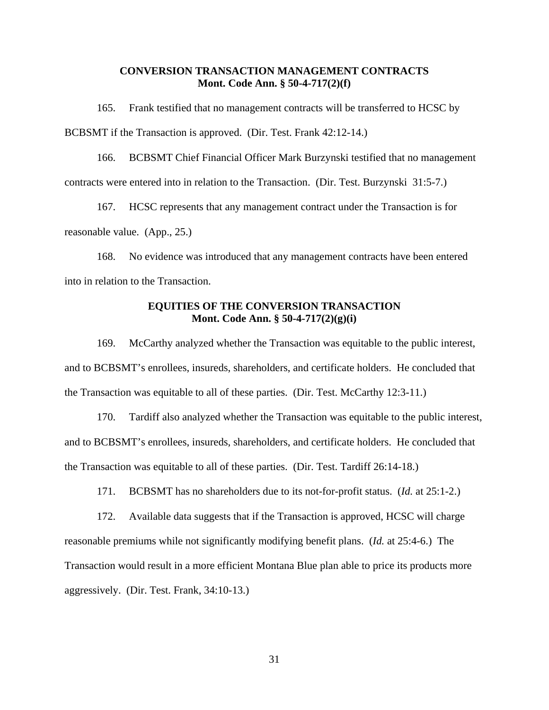### **CONVERSION TRANSACTION MANAGEMENT CONTRACTS Mont. Code Ann. § 50-4-717(2)(f)**

165. Frank testified that no management contracts will be transferred to HCSC by BCBSMT if the Transaction is approved. (Dir. Test. Frank 42:12-14.)

166. BCBSMT Chief Financial Officer Mark Burzynski testified that no management contracts were entered into in relation to the Transaction. (Dir. Test. Burzynski 31:5-7.)

167. HCSC represents that any management contract under the Transaction is for reasonable value. (App., 25.)

168. No evidence was introduced that any management contracts have been entered into in relation to the Transaction.

## **EQUITIES OF THE CONVERSION TRANSACTION Mont. Code Ann. § 50-4-717(2)(g)(i)**

169. McCarthy analyzed whether the Transaction was equitable to the public interest, and to BCBSMT's enrollees, insureds, shareholders, and certificate holders. He concluded that the Transaction was equitable to all of these parties. (Dir. Test. McCarthy 12:3-11.)

170. Tardiff also analyzed whether the Transaction was equitable to the public interest, and to BCBSMT's enrollees, insureds, shareholders, and certificate holders. He concluded that the Transaction was equitable to all of these parties. (Dir. Test. Tardiff 26:14-18.)

171. BCBSMT has no shareholders due to its not-for-profit status. (*Id.* at 25:1-2.)

172. Available data suggests that if the Transaction is approved, HCSC will charge reasonable premiums while not significantly modifying benefit plans. (*Id.* at 25:4-6.) The Transaction would result in a more efficient Montana Blue plan able to price its products more aggressively. (Dir. Test. Frank, 34:10-13.)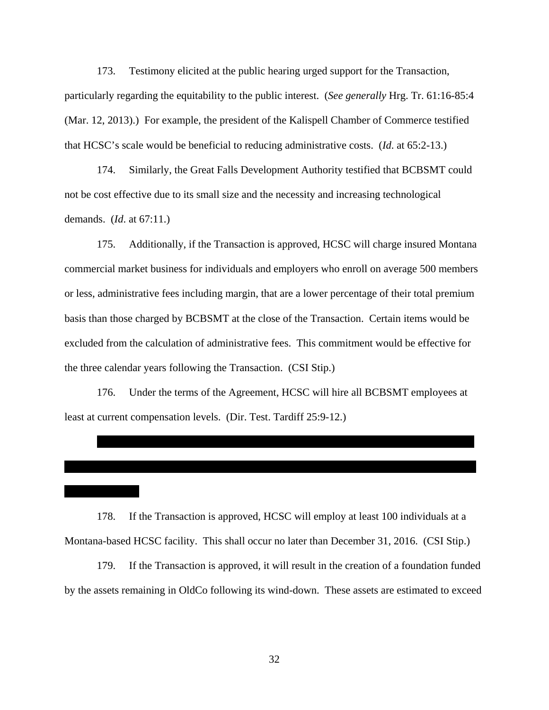173. Testimony elicited at the public hearing urged support for the Transaction, particularly regarding the equitability to the public interest. (*See generally* Hrg. Tr. 61:16-85:4 (Mar. 12, 2013).) For example, the president of the Kalispell Chamber of Commerce testified that HCSC's scale would be beneficial to reducing administrative costs. (*Id*. at 65:2-13.)

174. Similarly, the Great Falls Development Authority testified that BCBSMT could not be cost effective due to its small size and the necessity and increasing technological demands. (*Id*. at 67:11.)

175. Additionally, if the Transaction is approved, HCSC will charge insured Montana commercial market business for individuals and employers who enroll on average 500 members or less, administrative fees including margin, that are a lower percentage of their total premium basis than those charged by BCBSMT at the close of the Transaction. Certain items would be excluded from the calculation of administrative fees. This commitment would be effective for the three calendar years following the Transaction. (CSI Stip.)

176. Under the terms of the Agreement, HCSC will hire all BCBSMT employees at least at current compensation levels. (Dir. Test. Tardiff 25:9-12.)

178. If the Transaction is approved, HCSC will employ at least 100 individuals at a Montana-based HCSC facility. This shall occur no later than December 31, 2016. (CSI Stip.)

179. If the Transaction is approved, it will result in the creation of a foundation funded by the assets remaining in OldCo following its wind-down. These assets are estimated to exceed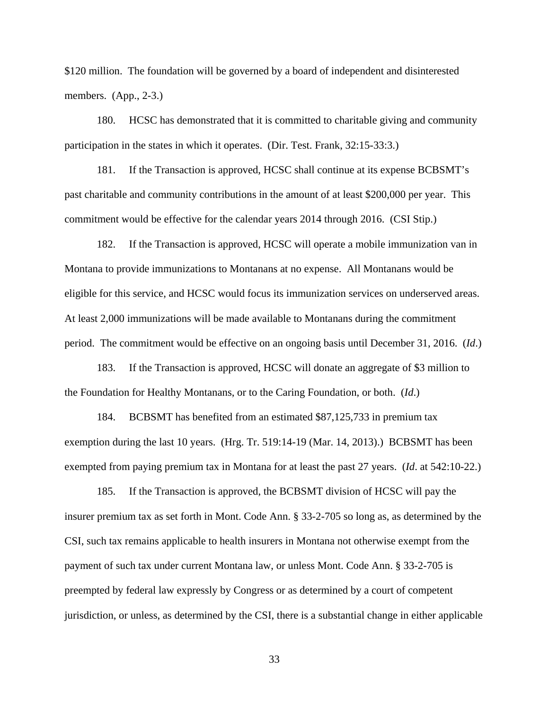\$120 million. The foundation will be governed by a board of independent and disinterested members. (App., 2-3.)

180. HCSC has demonstrated that it is committed to charitable giving and community participation in the states in which it operates. (Dir. Test. Frank, 32:15-33:3.)

181. If the Transaction is approved, HCSC shall continue at its expense BCBSMT's past charitable and community contributions in the amount of at least \$200,000 per year. This commitment would be effective for the calendar years 2014 through 2016. (CSI Stip.)

182. If the Transaction is approved, HCSC will operate a mobile immunization van in Montana to provide immunizations to Montanans at no expense. All Montanans would be eligible for this service, and HCSC would focus its immunization services on underserved areas. At least 2,000 immunizations will be made available to Montanans during the commitment period. The commitment would be effective on an ongoing basis until December 31, 2016. (*Id*.)

183. If the Transaction is approved, HCSC will donate an aggregate of \$3 million to the Foundation for Healthy Montanans, or to the Caring Foundation, or both. (*Id*.)

184. BCBSMT has benefited from an estimated \$87,125,733 in premium tax exemption during the last 10 years. (Hrg. Tr. 519:14-19 (Mar. 14, 2013).) BCBSMT has been exempted from paying premium tax in Montana for at least the past 27 years. (*Id*. at 542:10-22.)

185. If the Transaction is approved, the BCBSMT division of HCSC will pay the insurer premium tax as set forth in Mont. Code Ann. § 33-2-705 so long as, as determined by the CSI, such tax remains applicable to health insurers in Montana not otherwise exempt from the payment of such tax under current Montana law, or unless Mont. Code Ann. § 33-2-705 is preempted by federal law expressly by Congress or as determined by a court of competent jurisdiction, or unless, as determined by the CSI, there is a substantial change in either applicable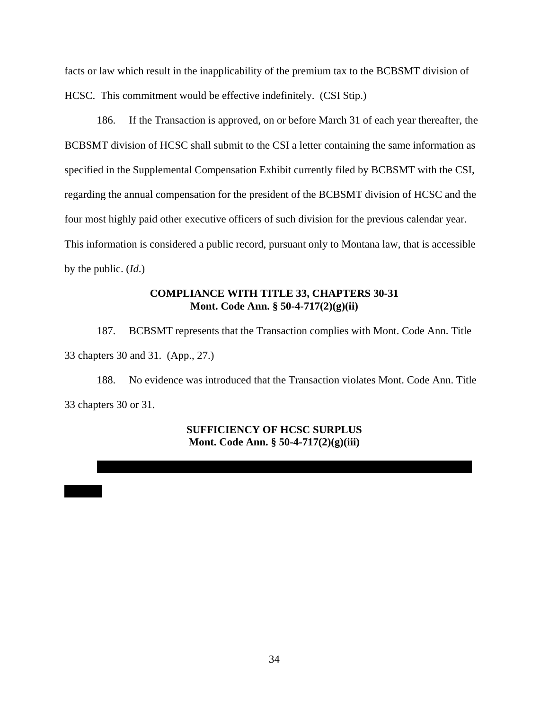facts or law which result in the inapplicability of the premium tax to the BCBSMT division of HCSC. This commitment would be effective indefinitely. (CSI Stip.)

186. If the Transaction is approved, on or before March 31 of each year thereafter, the BCBSMT division of HCSC shall submit to the CSI a letter containing the same information as specified in the Supplemental Compensation Exhibit currently filed by BCBSMT with the CSI, regarding the annual compensation for the president of the BCBSMT division of HCSC and the four most highly paid other executive officers of such division for the previous calendar year. This information is considered a public record, pursuant only to Montana law, that is accessible by the public. (*Id*.)

### **COMPLIANCE WITH TITLE 33, CHAPTERS 30-31 Mont. Code Ann. § 50-4-717(2)(g)(ii)**

187. BCBSMT represents that the Transaction complies with Mont. Code Ann. Title 33 chapters 30 and 31. (App., 27.)

188. No evidence was introduced that the Transaction violates Mont. Code Ann. Title 33 chapters 30 or 31.

## **SUFFICIENCY OF HCSC SURPLUS Mont. Code Ann. § 50-4-717(2)(g)(iii)**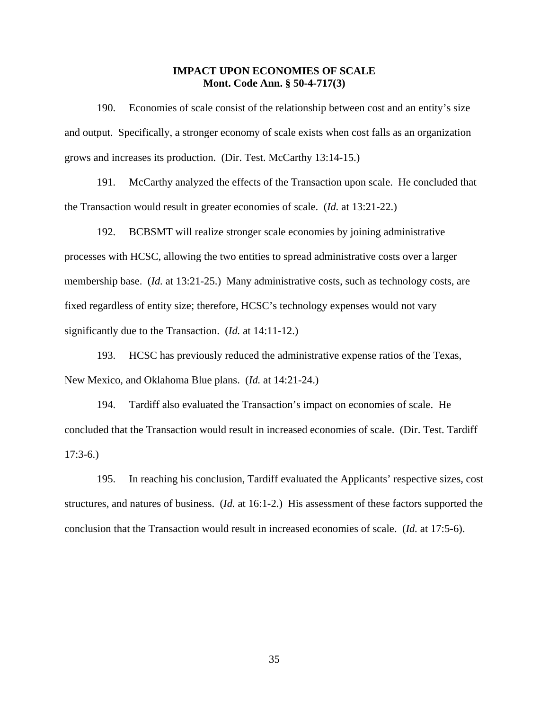### **IMPACT UPON ECONOMIES OF SCALE Mont. Code Ann. § 50-4-717(3)**

190. Economies of scale consist of the relationship between cost and an entity's size and output. Specifically, a stronger economy of scale exists when cost falls as an organization grows and increases its production. (Dir. Test. McCarthy 13:14-15.)

191. McCarthy analyzed the effects of the Transaction upon scale. He concluded that the Transaction would result in greater economies of scale. (*Id.* at 13:21-22.)

192. BCBSMT will realize stronger scale economies by joining administrative processes with HCSC, allowing the two entities to spread administrative costs over a larger membership base. (*Id.* at 13:21-25.) Many administrative costs, such as technology costs, are fixed regardless of entity size; therefore, HCSC's technology expenses would not vary significantly due to the Transaction. (*Id.* at 14:11-12.)

193. HCSC has previously reduced the administrative expense ratios of the Texas, New Mexico, and Oklahoma Blue plans. (*Id.* at 14:21-24.)

194. Tardiff also evaluated the Transaction's impact on economies of scale. He concluded that the Transaction would result in increased economies of scale. (Dir. Test. Tardiff  $17:3-6.$ 

195. In reaching his conclusion, Tardiff evaluated the Applicants' respective sizes, cost structures, and natures of business. (*Id.* at 16:1-2.) His assessment of these factors supported the conclusion that the Transaction would result in increased economies of scale. (*Id.* at 17:5-6).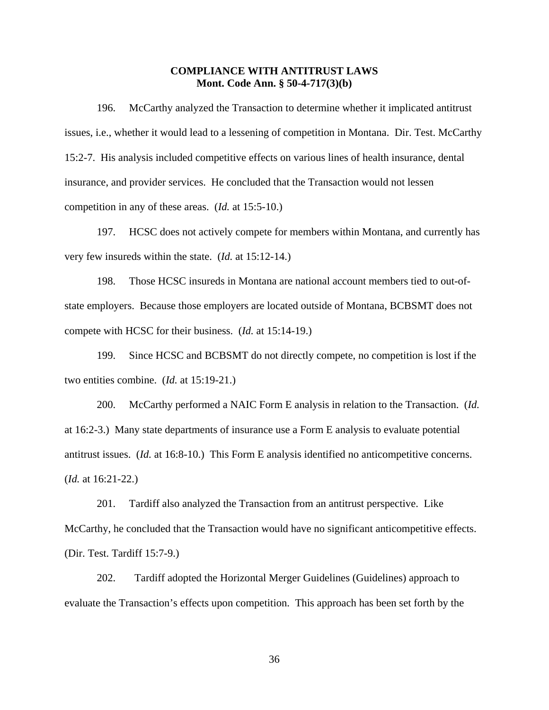## **COMPLIANCE WITH ANTITRUST LAWS Mont. Code Ann. § 50-4-717(3)(b)**

196. McCarthy analyzed the Transaction to determine whether it implicated antitrust issues, i.e., whether it would lead to a lessening of competition in Montana. Dir. Test. McCarthy 15:2-7. His analysis included competitive effects on various lines of health insurance, dental insurance, and provider services. He concluded that the Transaction would not lessen competition in any of these areas. (*Id.* at 15:5-10.)

197. HCSC does not actively compete for members within Montana, and currently has very few insureds within the state. (*Id.* at 15:12-14.)

198. Those HCSC insureds in Montana are national account members tied to out-ofstate employers. Because those employers are located outside of Montana, BCBSMT does not compete with HCSC for their business. (*Id.* at 15:14-19.)

199. Since HCSC and BCBSMT do not directly compete, no competition is lost if the two entities combine. (*Id.* at 15:19-21.)

200. McCarthy performed a NAIC Form E analysis in relation to the Transaction. (*Id.* at 16:2-3.) Many state departments of insurance use a Form E analysis to evaluate potential antitrust issues. (*Id.* at 16:8-10.) This Form E analysis identified no anticompetitive concerns. (*Id.* at 16:21-22.)

201. Tardiff also analyzed the Transaction from an antitrust perspective. Like McCarthy, he concluded that the Transaction would have no significant anticompetitive effects. (Dir. Test. Tardiff 15:7-9.)

202. Tardiff adopted the Horizontal Merger Guidelines (Guidelines) approach to evaluate the Transaction's effects upon competition. This approach has been set forth by the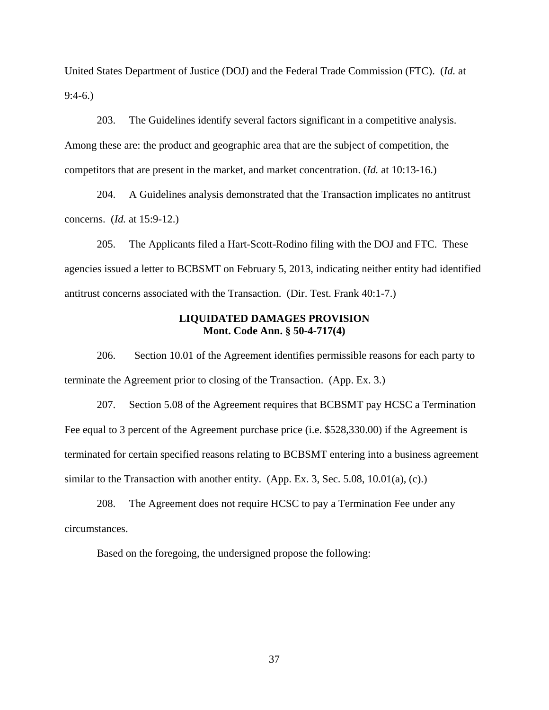United States Department of Justice (DOJ) and the Federal Trade Commission (FTC). (*Id.* at 9:4-6.)

203. The Guidelines identify several factors significant in a competitive analysis. Among these are: the product and geographic area that are the subject of competition, the competitors that are present in the market, and market concentration. (*Id.* at 10:13-16.)

204. A Guidelines analysis demonstrated that the Transaction implicates no antitrust concerns. (*Id.* at 15:9-12.)

205. The Applicants filed a Hart-Scott-Rodino filing with the DOJ and FTC. These agencies issued a letter to BCBSMT on February 5, 2013, indicating neither entity had identified antitrust concerns associated with the Transaction. (Dir. Test. Frank 40:1-7.)

### **LIQUIDATED DAMAGES PROVISION Mont. Code Ann. § 50-4-717(4)**

206. Section 10.01 of the Agreement identifies permissible reasons for each party to terminate the Agreement prior to closing of the Transaction. (App. Ex. 3.)

207. Section 5.08 of the Agreement requires that BCBSMT pay HCSC a Termination Fee equal to 3 percent of the Agreement purchase price (i.e. \$528,330.00) if the Agreement is terminated for certain specified reasons relating to BCBSMT entering into a business agreement similar to the Transaction with another entity. (App. Ex. 3, Sec. 5.08, 10.01(a), (c).)

208. The Agreement does not require HCSC to pay a Termination Fee under any circumstances.

Based on the foregoing, the undersigned propose the following: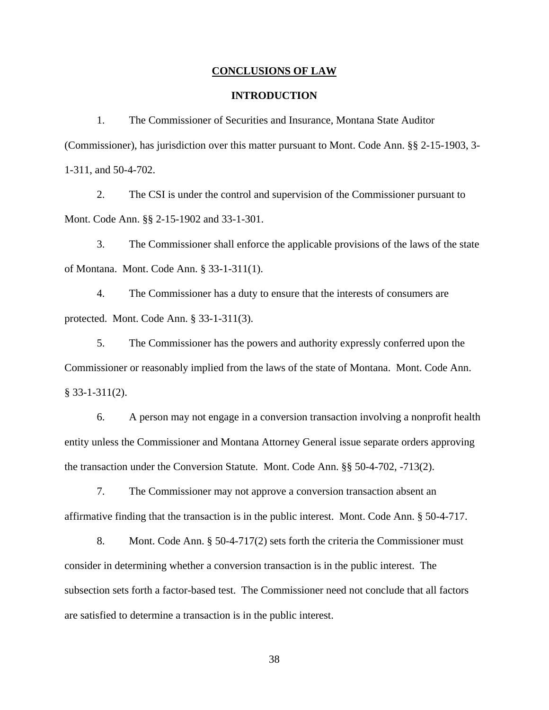#### **CONCLUSIONS OF LAW**

### **INTRODUCTION**

1. The Commissioner of Securities and Insurance, Montana State Auditor (Commissioner), has jurisdiction over this matter pursuant to Mont. Code Ann. §§ 2-15-1903, 3- 1-311, and 50-4-702.

2. The CSI is under the control and supervision of the Commissioner pursuant to Mont. Code Ann. §§ 2-15-1902 and 33-1-301.

3. The Commissioner shall enforce the applicable provisions of the laws of the state of Montana. Mont. Code Ann. § 33-1-311(1).

4. The Commissioner has a duty to ensure that the interests of consumers are protected. Mont. Code Ann. § 33-1-311(3).

5. The Commissioner has the powers and authority expressly conferred upon the Commissioner or reasonably implied from the laws of the state of Montana. Mont. Code Ann. § 33-1-311(2).

6. A person may not engage in a conversion transaction involving a nonprofit health entity unless the Commissioner and Montana Attorney General issue separate orders approving the transaction under the Conversion Statute. Mont. Code Ann. §§ 50-4-702, -713(2).

7. The Commissioner may not approve a conversion transaction absent an affirmative finding that the transaction is in the public interest. Mont. Code Ann. § 50-4-717.

8. Mont. Code Ann. § 50-4-717(2) sets forth the criteria the Commissioner must consider in determining whether a conversion transaction is in the public interest. The subsection sets forth a factor-based test. The Commissioner need not conclude that all factors are satisfied to determine a transaction is in the public interest.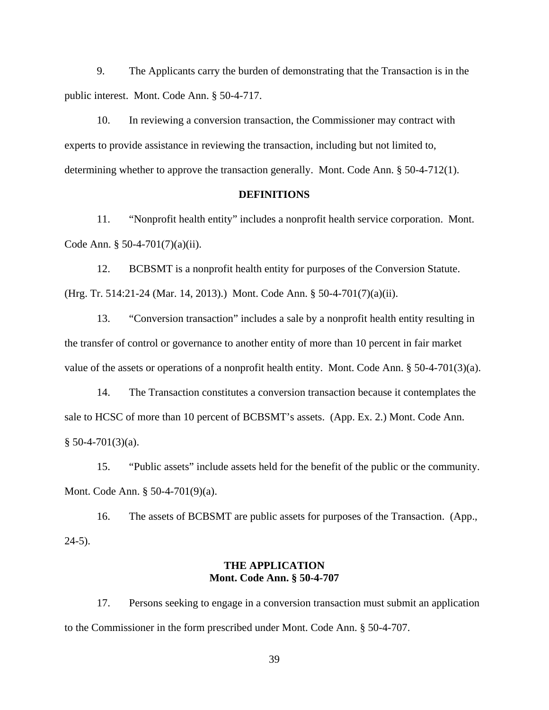9. The Applicants carry the burden of demonstrating that the Transaction is in the public interest. Mont. Code Ann. § 50-4-717.

10. In reviewing a conversion transaction, the Commissioner may contract with experts to provide assistance in reviewing the transaction, including but not limited to, determining whether to approve the transaction generally. Mont. Code Ann. § 50-4-712(1).

#### **DEFINITIONS**

11. "Nonprofit health entity" includes a nonprofit health service corporation. Mont. Code Ann. § 50-4-701(7)(a)(ii).

12. BCBSMT is a nonprofit health entity for purposes of the Conversion Statute. (Hrg. Tr. 514:21-24 (Mar. 14, 2013).) Mont. Code Ann. § 50-4-701(7)(a)(ii).

13. "Conversion transaction" includes a sale by a nonprofit health entity resulting in the transfer of control or governance to another entity of more than 10 percent in fair market value of the assets or operations of a nonprofit health entity. Mont. Code Ann. § 50-4-701(3)(a).

14. The Transaction constitutes a conversion transaction because it contemplates the sale to HCSC of more than 10 percent of BCBSMT's assets. (App. Ex. 2.) Mont. Code Ann.  $§$  50-4-701(3)(a).

15. "Public assets" include assets held for the benefit of the public or the community. Mont. Code Ann. § 50-4-701(9)(a).

16. The assets of BCBSMT are public assets for purposes of the Transaction. (App.,  $24-5$ ).

### **THE APPLICATION Mont. Code Ann. § 50-4-707**

17. Persons seeking to engage in a conversion transaction must submit an application to the Commissioner in the form prescribed under Mont. Code Ann. § 50-4-707.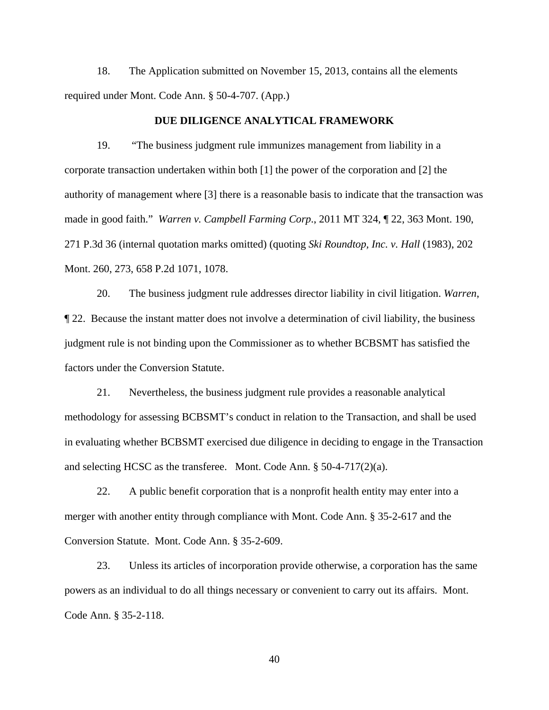18. The Application submitted on November 15, 2013, contains all the elements required under Mont. Code Ann. § 50-4-707. (App.)

#### **DUE DILIGENCE ANALYTICAL FRAMEWORK**

19. "The business judgment rule immunizes management from liability in a corporate transaction undertaken within both [1] the power of the corporation and [2] the authority of management where [3] there is a reasonable basis to indicate that the transaction was made in good faith." *Warren v. Campbell Farming Corp*., 2011 MT 324, ¶ 22, 363 Mont. 190, 271 P.3d 36 (internal quotation marks omitted) (quoting *Ski Roundtop, Inc. v. Hall* (1983), 202 Mont. 260, 273, 658 P.2d 1071, 1078.

20. The business judgment rule addresses director liability in civil litigation. *Warren*, ¶ 22. Because the instant matter does not involve a determination of civil liability, the business judgment rule is not binding upon the Commissioner as to whether BCBSMT has satisfied the factors under the Conversion Statute.

21. Nevertheless, the business judgment rule provides a reasonable analytical methodology for assessing BCBSMT's conduct in relation to the Transaction, and shall be used in evaluating whether BCBSMT exercised due diligence in deciding to engage in the Transaction and selecting HCSC as the transferee. Mont. Code Ann. § 50-4-717(2)(a).

22. A public benefit corporation that is a nonprofit health entity may enter into a merger with another entity through compliance with Mont. Code Ann. § 35-2-617 and the Conversion Statute. Mont. Code Ann. § 35-2-609.

23. Unless its articles of incorporation provide otherwise, a corporation has the same powers as an individual to do all things necessary or convenient to carry out its affairs. Mont. Code Ann. § 35-2-118.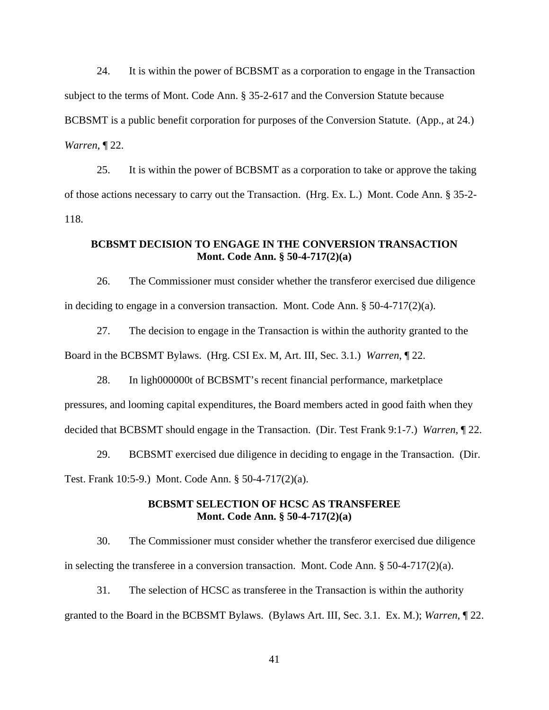24. It is within the power of BCBSMT as a corporation to engage in the Transaction subject to the terms of Mont. Code Ann. § 35-2-617 and the Conversion Statute because BCBSMT is a public benefit corporation for purposes of the Conversion Statute. (App., at 24.) *Warren*, ¶ 22.

25. It is within the power of BCBSMT as a corporation to take or approve the taking of those actions necessary to carry out the Transaction. (Hrg. Ex. L.) Mont. Code Ann. § 35-2- 118.

## **BCBSMT DECISION TO ENGAGE IN THE CONVERSION TRANSACTION Mont. Code Ann. § 50-4-717(2)(a)**

26. The Commissioner must consider whether the transferor exercised due diligence in deciding to engage in a conversion transaction. Mont. Code Ann. § 50-4-717(2)(a).

27. The decision to engage in the Transaction is within the authority granted to the Board in the BCBSMT Bylaws. (Hrg. CSI Ex. M, Art. III, Sec. 3.1.) *Warren*, ¶ 22.

28. In ligh000000t of BCBSMT's recent financial performance, marketplace pressures, and looming capital expenditures, the Board members acted in good faith when they decided that BCBSMT should engage in the Transaction. (Dir. Test Frank 9:1-7.) *Warren*, ¶ 22.

29. BCBSMT exercised due diligence in deciding to engage in the Transaction. (Dir. Test. Frank 10:5-9.) Mont. Code Ann. § 50-4-717(2)(a).

### **BCBSMT SELECTION OF HCSC AS TRANSFEREE Mont. Code Ann. § 50-4-717(2)(a)**

30. The Commissioner must consider whether the transferor exercised due diligence in selecting the transferee in a conversion transaction. Mont. Code Ann.  $\S 50-4-717(2)(a)$ .

31. The selection of HCSC as transferee in the Transaction is within the authority granted to the Board in the BCBSMT Bylaws. (Bylaws Art. III, Sec. 3.1. Ex. M.); *Warren*, ¶ 22.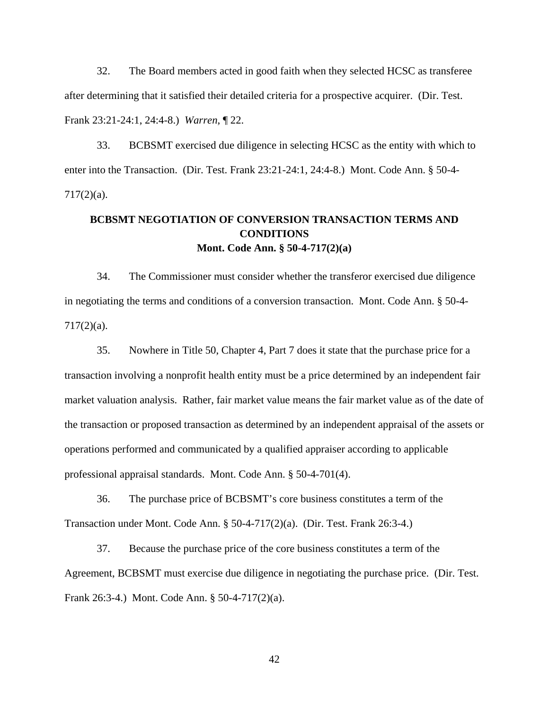32. The Board members acted in good faith when they selected HCSC as transferee after determining that it satisfied their detailed criteria for a prospective acquirer. (Dir. Test. Frank 23:21-24:1, 24:4-8.) *Warren*, ¶ 22.

33. BCBSMT exercised due diligence in selecting HCSC as the entity with which to enter into the Transaction. (Dir. Test. Frank 23:21-24:1, 24:4-8.) Mont. Code Ann. § 50-4- 717(2)(a).

# **BCBSMT NEGOTIATION OF CONVERSION TRANSACTION TERMS AND CONDITIONS Mont. Code Ann. § 50-4-717(2)(a)**

34. The Commissioner must consider whether the transferor exercised due diligence in negotiating the terms and conditions of a conversion transaction. Mont. Code Ann. § 50-4-  $717(2)(a)$ .

35. Nowhere in Title 50, Chapter 4, Part 7 does it state that the purchase price for a transaction involving a nonprofit health entity must be a price determined by an independent fair market valuation analysis. Rather, fair market value means the fair market value as of the date of the transaction or proposed transaction as determined by an independent appraisal of the assets or operations performed and communicated by a qualified appraiser according to applicable professional appraisal standards. Mont. Code Ann. § 50-4-701(4).

36. The purchase price of BCBSMT's core business constitutes a term of the Transaction under Mont. Code Ann. § 50-4-717(2)(a). (Dir. Test. Frank 26:3-4.)

37. Because the purchase price of the core business constitutes a term of the Agreement, BCBSMT must exercise due diligence in negotiating the purchase price. (Dir. Test. Frank 26:3-4.) Mont. Code Ann. § 50-4-717(2)(a).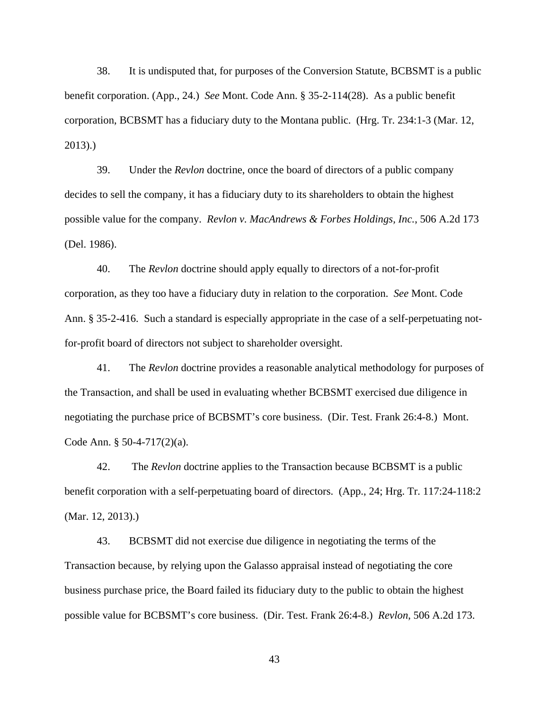38. It is undisputed that, for purposes of the Conversion Statute, BCBSMT is a public benefit corporation. (App., 24.) *See* Mont. Code Ann. § 35-2-114(28). As a public benefit corporation, BCBSMT has a fiduciary duty to the Montana public. (Hrg. Tr. 234:1-3 (Mar. 12, 2013).)

39. Under the *Revlon* doctrine, once the board of directors of a public company decides to sell the company, it has a fiduciary duty to its shareholders to obtain the highest possible value for the company. *Revlon v. MacAndrews & Forbes Holdings, Inc.*, 506 A.2d 173 (Del. 1986).

40. The *Revlon* doctrine should apply equally to directors of a not-for-profit corporation, as they too have a fiduciary duty in relation to the corporation. *See* Mont. Code Ann. § 35-2-416. Such a standard is especially appropriate in the case of a self-perpetuating notfor-profit board of directors not subject to shareholder oversight.

41. The *Revlon* doctrine provides a reasonable analytical methodology for purposes of the Transaction, and shall be used in evaluating whether BCBSMT exercised due diligence in negotiating the purchase price of BCBSMT's core business. (Dir. Test. Frank 26:4-8.) Mont. Code Ann. § 50-4-717(2)(a).

42. The *Revlon* doctrine applies to the Transaction because BCBSMT is a public benefit corporation with a self-perpetuating board of directors. (App., 24; Hrg. Tr. 117:24-118:2 (Mar. 12, 2013).)

43. BCBSMT did not exercise due diligence in negotiating the terms of the Transaction because, by relying upon the Galasso appraisal instead of negotiating the core business purchase price, the Board failed its fiduciary duty to the public to obtain the highest possible value for BCBSMT's core business. (Dir. Test. Frank 26:4-8.) *Revlon*, 506 A.2d 173.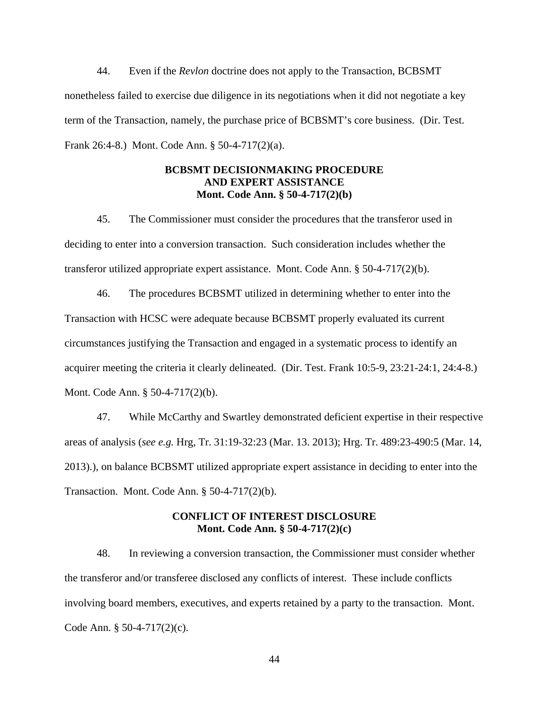44. Even if the *Revlon* doctrine does not apply to the Transaction, BCBSMT nonetheless failed to exercise due diligence in its negotiations when it did not negotiate a key term of the Transaction, namely, the purchase price of BCBSMT's core business. (Dir. Test. Frank 26:4-8.) Mont. Code Ann. § 50-4-717(2)(a).

## **BCBSMT DECISIONMAKING PROCEDURE AND EXPERT ASSISTANCE Mont. Code Ann. § 50-4-717(2)(b)**

45. The Commissioner must consider the procedures that the transferor used in deciding to enter into a conversion transaction. Such consideration includes whether the transferor utilized appropriate expert assistance. Mont. Code Ann. § 50-4-717(2)(b).

46. The procedures BCBSMT utilized in determining whether to enter into the Transaction with HCSC were adequate because BCBSMT properly evaluated its current circumstances justifying the Transaction and engaged in a systematic process to identify an acquirer meeting the criteria it clearly delineated. (Dir. Test. Frank 10:5-9, 23:21-24:1, 24:4-8.) Mont. Code Ann. § 50-4-717(2)(b).

47. While McCarthy and Swartley demonstrated deficient expertise in their respective areas of analysis (*see e.g.* Hrg, Tr. 31:19-32:23 (Mar. 13. 2013); Hrg. Tr. 489:23-490:5 (Mar. 14, 2013).), on balance BCBSMT utilized appropriate expert assistance in deciding to enter into the Transaction. Mont. Code Ann. § 50-4-717(2)(b).

## **CONFLICT OF INTEREST DISCLOSURE Mont. Code Ann. § 50-4-717(2)(c)**

48. In reviewing a conversion transaction, the Commissioner must consider whether the transferor and/or transferee disclosed any conflicts of interest. These include conflicts involving board members, executives, and experts retained by a party to the transaction. Mont. Code Ann. § 50-4-717(2)(c).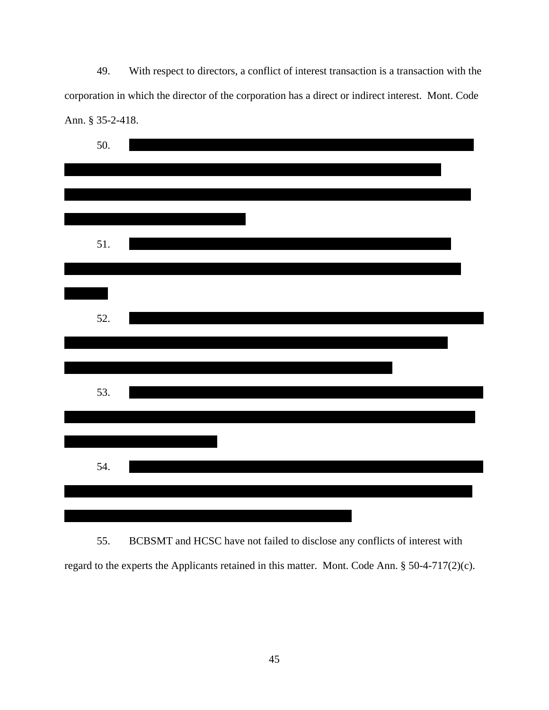49. With respect to directors, a conflict of interest transaction is a transaction with the corporation in which the director of the corporation has a direct or indirect interest. Mont. Code Ann. § 35-2-418.



55. BCBSMT and HCSC have not failed to disclose any conflicts of interest with regard to the experts the Applicants retained in this matter. Mont. Code Ann. § 50-4-717(2)(c).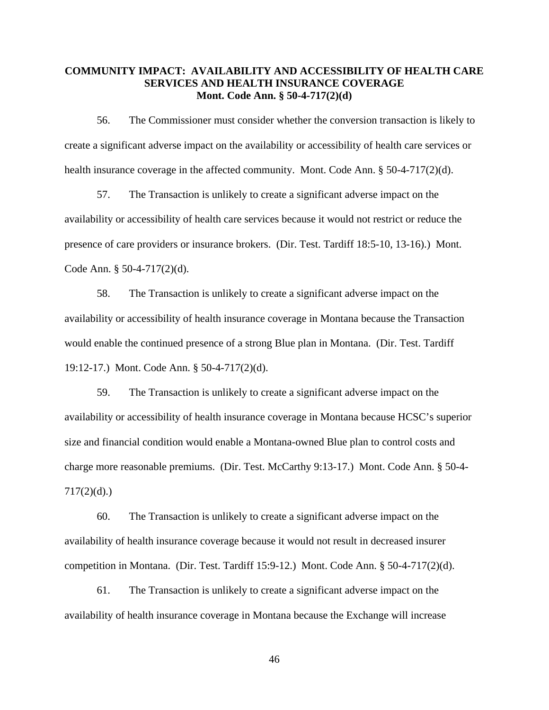## **COMMUNITY IMPACT: AVAILABILITY AND ACCESSIBILITY OF HEALTH CARE SERVICES AND HEALTH INSURANCE COVERAGE Mont. Code Ann. § 50-4-717(2)(d)**

56. The Commissioner must consider whether the conversion transaction is likely to create a significant adverse impact on the availability or accessibility of health care services or health insurance coverage in the affected community. Mont. Code Ann.  $\S 50-4-717(2)(d)$ .

57. The Transaction is unlikely to create a significant adverse impact on the availability or accessibility of health care services because it would not restrict or reduce the presence of care providers or insurance brokers. (Dir. Test. Tardiff 18:5-10, 13-16).) Mont. Code Ann. § 50-4-717(2)(d).

58. The Transaction is unlikely to create a significant adverse impact on the availability or accessibility of health insurance coverage in Montana because the Transaction would enable the continued presence of a strong Blue plan in Montana. (Dir. Test. Tardiff 19:12-17.) Mont. Code Ann. § 50-4-717(2)(d).

59. The Transaction is unlikely to create a significant adverse impact on the availability or accessibility of health insurance coverage in Montana because HCSC's superior size and financial condition would enable a Montana-owned Blue plan to control costs and charge more reasonable premiums. (Dir. Test. McCarthy 9:13-17.) Mont. Code Ann. § 50-4-  $717(2)(d)$ .)

60. The Transaction is unlikely to create a significant adverse impact on the availability of health insurance coverage because it would not result in decreased insurer competition in Montana. (Dir. Test. Tardiff 15:9-12.) Mont. Code Ann. § 50-4-717(2)(d).

61. The Transaction is unlikely to create a significant adverse impact on the availability of health insurance coverage in Montana because the Exchange will increase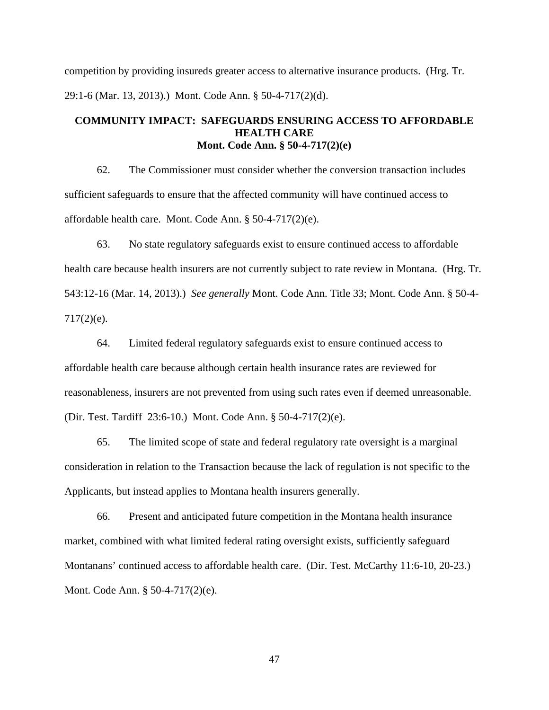competition by providing insureds greater access to alternative insurance products. (Hrg. Tr. 29:1-6 (Mar. 13, 2013).) Mont. Code Ann. § 50-4-717(2)(d).

## **COMMUNITY IMPACT: SAFEGUARDS ENSURING ACCESS TO AFFORDABLE HEALTH CARE Mont. Code Ann. § 50-4-717(2)(e)**

62. The Commissioner must consider whether the conversion transaction includes sufficient safeguards to ensure that the affected community will have continued access to affordable health care. Mont. Code Ann. § 50-4-717(2)(e).

63. No state regulatory safeguards exist to ensure continued access to affordable health care because health insurers are not currently subject to rate review in Montana. (Hrg. Tr. 543:12-16 (Mar. 14, 2013).) *See generally* Mont. Code Ann. Title 33; Mont. Code Ann. § 50-4-  $717(2)(e)$ .

64. Limited federal regulatory safeguards exist to ensure continued access to affordable health care because although certain health insurance rates are reviewed for reasonableness, insurers are not prevented from using such rates even if deemed unreasonable. (Dir. Test. Tardiff 23:6-10.) Mont. Code Ann. § 50-4-717(2)(e).

65. The limited scope of state and federal regulatory rate oversight is a marginal consideration in relation to the Transaction because the lack of regulation is not specific to the Applicants, but instead applies to Montana health insurers generally.

66. Present and anticipated future competition in the Montana health insurance market, combined with what limited federal rating oversight exists, sufficiently safeguard Montanans' continued access to affordable health care. (Dir. Test. McCarthy 11:6-10, 20-23.) Mont. Code Ann. § 50-4-717(2)(e).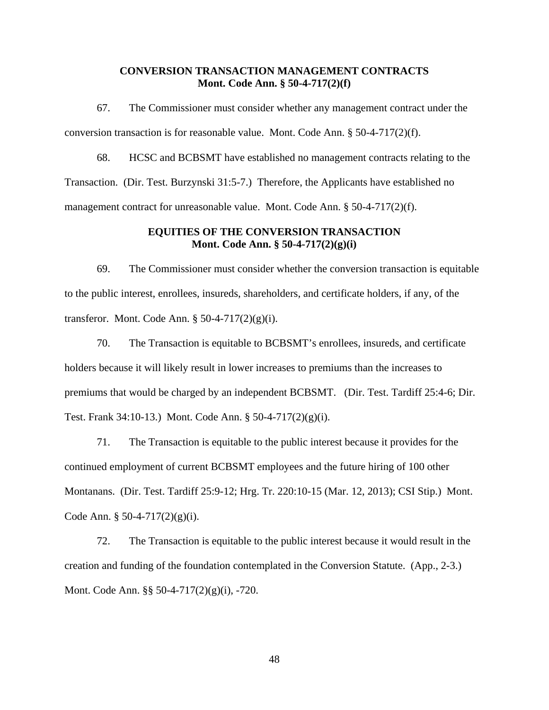### **CONVERSION TRANSACTION MANAGEMENT CONTRACTS Mont. Code Ann. § 50-4-717(2)(f)**

67. The Commissioner must consider whether any management contract under the conversion transaction is for reasonable value. Mont. Code Ann. § 50-4-717(2)(f).

68. HCSC and BCBSMT have established no management contracts relating to the Transaction. (Dir. Test. Burzynski 31:5-7.) Therefore, the Applicants have established no management contract for unreasonable value. Mont. Code Ann. § 50-4-717(2)(f).

## **EQUITIES OF THE CONVERSION TRANSACTION Mont. Code Ann. § 50-4-717(2)(g)(i)**

69. The Commissioner must consider whether the conversion transaction is equitable to the public interest, enrollees, insureds, shareholders, and certificate holders, if any, of the transferor. Mont. Code Ann.  $\S 50-4-717(2)(g)(i)$ .

70. The Transaction is equitable to BCBSMT's enrollees, insureds, and certificate holders because it will likely result in lower increases to premiums than the increases to premiums that would be charged by an independent BCBSMT. (Dir. Test. Tardiff 25:4-6; Dir. Test. Frank 34:10-13.) Mont. Code Ann. § 50-4-717(2)(g)(i).

71. The Transaction is equitable to the public interest because it provides for the continued employment of current BCBSMT employees and the future hiring of 100 other Montanans. (Dir. Test. Tardiff 25:9-12; Hrg. Tr. 220:10-15 (Mar. 12, 2013); CSI Stip.) Mont. Code Ann. § 50-4-717 $(2)(g)(i)$ .

72. The Transaction is equitable to the public interest because it would result in the creation and funding of the foundation contemplated in the Conversion Statute. (App., 2-3.) Mont. Code Ann. §§ 50-4-717(2)(g)(i), -720.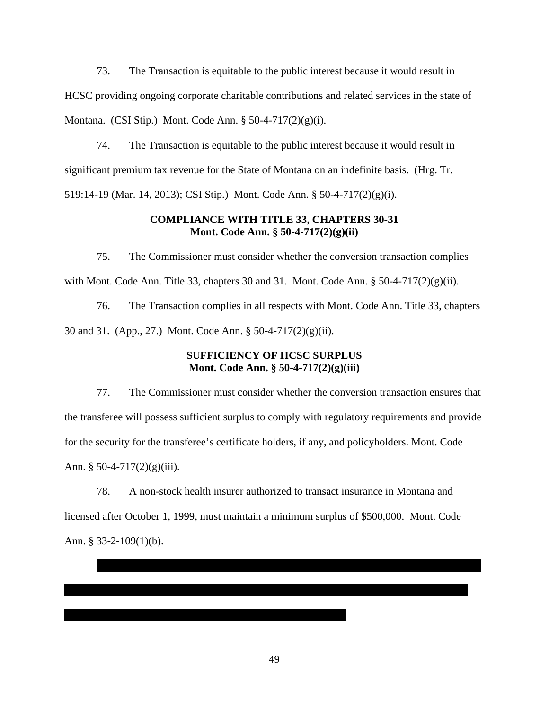73. The Transaction is equitable to the public interest because it would result in HCSC providing ongoing corporate charitable contributions and related services in the state of Montana. (CSI Stip.) Mont. Code Ann. § 50-4-717(2)(g)(i).

74. The Transaction is equitable to the public interest because it would result in significant premium tax revenue for the State of Montana on an indefinite basis. (Hrg. Tr. 519:14-19 (Mar. 14, 2013); CSI Stip.) Mont. Code Ann. § 50-4-717(2)(g)(i).

## **COMPLIANCE WITH TITLE 33, CHAPTERS 30-31 Mont. Code Ann. § 50-4-717(2)(g)(ii)**

75. The Commissioner must consider whether the conversion transaction complies with Mont. Code Ann. Title 33, chapters 30 and 31. Mont. Code Ann. §  $50-4-717(2)(g)(ii)$ .

76. The Transaction complies in all respects with Mont. Code Ann. Title 33, chapters 30 and 31. (App., 27.) Mont. Code Ann. § 50-4-717(2)(g)(ii).

## **SUFFICIENCY OF HCSC SURPLUS Mont. Code Ann. § 50-4-717(2)(g)(iii)**

77. The Commissioner must consider whether the conversion transaction ensures that the transferee will possess sufficient surplus to comply with regulatory requirements and provide for the security for the transferee's certificate holders, if any, and policyholders. Mont. Code Ann. § 50-4-717 $(2)(g)(iii)$ .

78. A non-stock health insurer authorized to transact insurance in Montana and licensed after October 1, 1999, must maintain a minimum surplus of \$500,000. Mont. Code Ann. § 33-2-109(1)(b).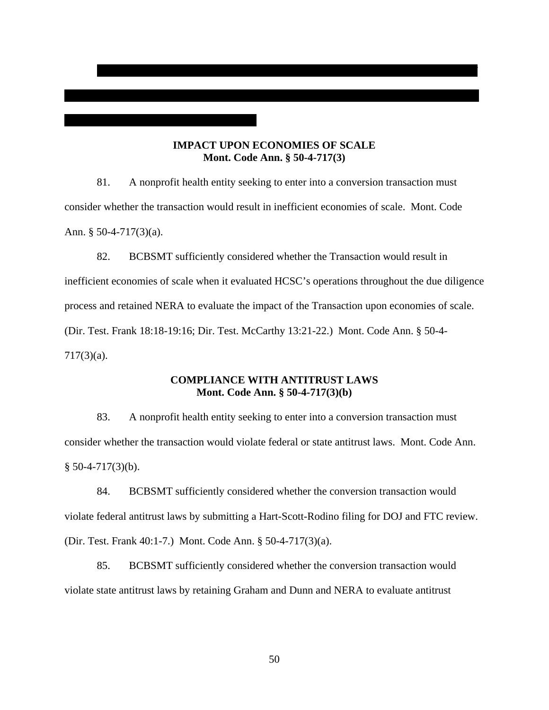## **IMPACT UPON ECONOMIES OF SCALE Mont. Code Ann. § 50-4-717(3)**

f

81. A nonprofit health entity seeking to enter into a conversion transaction must consider whether the transaction would result in inefficient economies of scale. Mont. Code Ann. § 50-4-717(3)(a).

82. BCBSMT sufficiently considered whether the Transaction would result in inefficient economies of scale when it evaluated HCSC's operations throughout the due diligence process and retained NERA to evaluate the impact of the Transaction upon economies of scale. (Dir. Test. Frank 18:18-19:16; Dir. Test. McCarthy 13:21-22.) Mont. Code Ann. § 50-4- 717(3)(a).

## **COMPLIANCE WITH ANTITRUST LAWS Mont. Code Ann. § 50-4-717(3)(b)**

83. A nonprofit health entity seeking to enter into a conversion transaction must consider whether the transaction would violate federal or state antitrust laws. Mont. Code Ann. § 50-4-717(3)(b).

84. BCBSMT sufficiently considered whether the conversion transaction would violate federal antitrust laws by submitting a Hart-Scott-Rodino filing for DOJ and FTC review. (Dir. Test. Frank 40:1-7.) Mont. Code Ann. § 50-4-717(3)(a).

85. BCBSMT sufficiently considered whether the conversion transaction would violate state antitrust laws by retaining Graham and Dunn and NERA to evaluate antitrust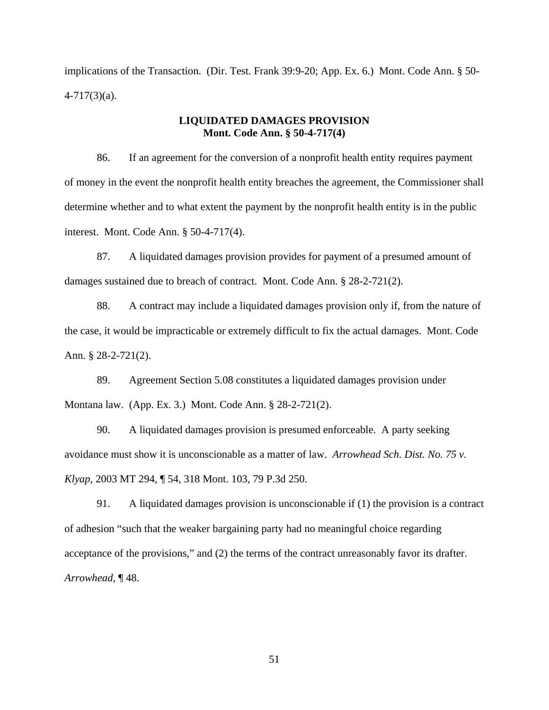implications of the Transaction. (Dir. Test. Frank 39:9-20; App. Ex. 6.) Mont. Code Ann. § 50- 4-717(3)(a).

## **LIQUIDATED DAMAGES PROVISION Mont. Code Ann. § 50-4-717(4)**

86. If an agreement for the conversion of a nonprofit health entity requires payment of money in the event the nonprofit health entity breaches the agreement, the Commissioner shall determine whether and to what extent the payment by the nonprofit health entity is in the public interest. Mont. Code Ann. § 50-4-717(4).

87. A liquidated damages provision provides for payment of a presumed amount of damages sustained due to breach of contract. Mont. Code Ann. § 28-2-721(2).

88. A contract may include a liquidated damages provision only if, from the nature of the case, it would be impracticable or extremely difficult to fix the actual damages. Mont. Code Ann. § 28-2-721(2).

89. Agreement Section 5.08 constitutes a liquidated damages provision under Montana law. (App. Ex. 3.) Mont. Code Ann. § 28-2-721(2).

90. A liquidated damages provision is presumed enforceable. A party seeking avoidance must show it is unconscionable as a matter of law. *Arrowhead Sch. Dist. No. 75 v. Klyap*, 2003 MT 294, ¶ 54, 318 Mont. 103, 79 P.3d 250.

91. A liquidated damages provision is unconscionable if (1) the provision is a contract of adhesion "such that the weaker bargaining party had no meaningful choice regarding acceptance of the provisions," and (2) the terms of the contract unreasonably favor its drafter. *Arrowhead*, ¶ 48.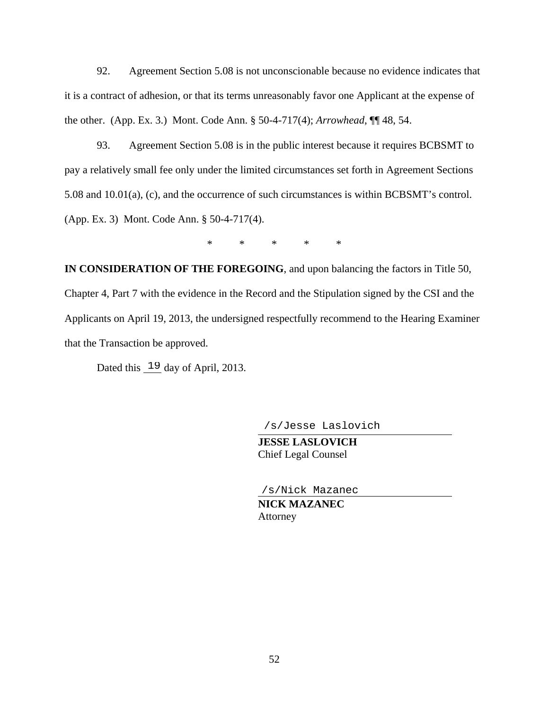92. Agreement Section 5.08 is not unconscionable because no evidence indicates that it is a contract of adhesion, or that its terms unreasonably favor one Applicant at the expense of the other. (App. Ex. 3.) Mont. Code Ann. § 50-4-717(4); *Arrowhead*, ¶¶ 48, 54.

93. Agreement Section 5.08 is in the public interest because it requires BCBSMT to pay a relatively small fee only under the limited circumstances set forth in Agreement Sections 5.08 and 10.01(a), (c), and the occurrence of such circumstances is within BCBSMT's control. (App. Ex. 3) Mont. Code Ann. § 50-4-717(4).

\* \* \* \* \*

**IN CONSIDERATION OF THE FOREGOING**, and upon balancing the factors in Title 50, Chapter 4, Part 7 with the evidence in the Record and the Stipulation signed by the CSI and the Applicants on April 19, 2013, the undersigned respectfully recommend to the Hearing Examiner that the Transaction be approved.

Dated this  $\frac{19}{9}$  day of April, 2013.

/s/Jesse Laslovich

 **JESSE LASLOVICH**  Chief Legal Counsel

/s/Nick Mazanec

 **NICK MAZANEC** Attorney